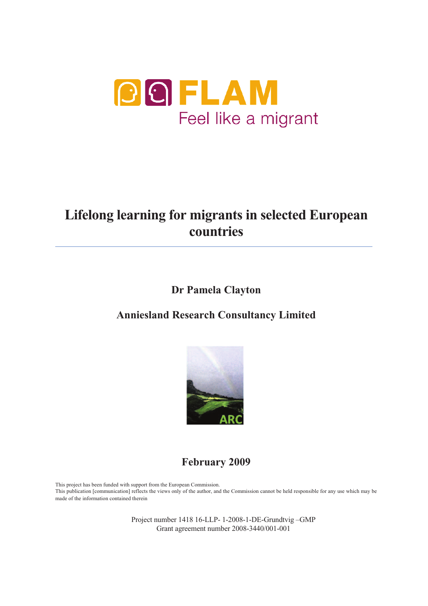

# **Lifelong learning for migrants in selected European countries**

**Dr Pamela Clayton** 

## **Anniesland Research Consultancy Limited**



**February 2009** 

This project has been funded with support from the European Commission. This publication [communication] reflects the views only of the author, and the Commission cannot be held responsible for any use which may be made of the information contained therein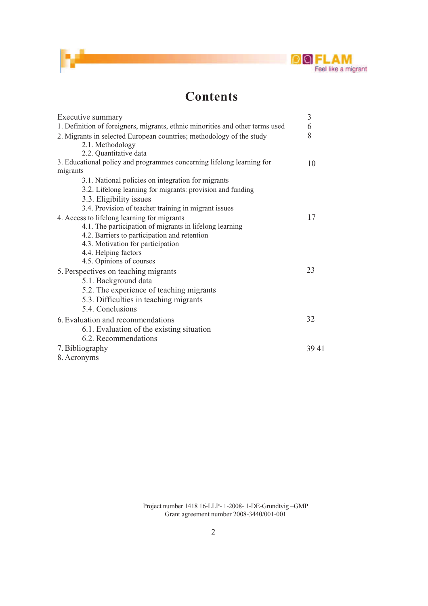

## **Contents**

| Executive summary                                                             |    |
|-------------------------------------------------------------------------------|----|
| 1. Definition of foreigners, migrants, ethnic minorities and other terms used | 6  |
| 2. Migrants in selected European countries; methodology of the study          | 8  |
| 2.1. Methodology                                                              |    |
| 2.2. Quantitative data                                                        |    |
| 3. Educational policy and programmes concerning lifelong learning for         | 10 |
| migrants                                                                      |    |
| 3.1. National policies on integration for migrants                            |    |
| 3.2. Lifelong learning for migrants: provision and funding                    |    |
| 3.3. Eligibility issues                                                       |    |
| 3.4. Provision of teacher training in migrant issues                          |    |
| 4. Access to lifelong learning for migrants                                   | 17 |
| 4.1. The participation of migrants in lifelong learning                       |    |
| 4.2. Barriers to participation and retention                                  |    |
| 4.3. Motivation for participation                                             |    |
| 4.4. Helping factors                                                          |    |
| 4.5. Opinions of courses                                                      | 23 |
| 5. Perspectives on teaching migrants                                          |    |
| 5.1. Background data                                                          |    |
| 5.2. The experience of teaching migrants                                      |    |
| 5.3. Difficulties in teaching migrants                                        |    |
| 5.4. Conclusions                                                              |    |
| 6. Evaluation and recommendations                                             |    |
| 6.1. Evaluation of the existing situation                                     |    |
| 6.2. Recommendations                                                          |    |
| 7. Bibliography                                                               |    |
| 8. Acronyms                                                                   |    |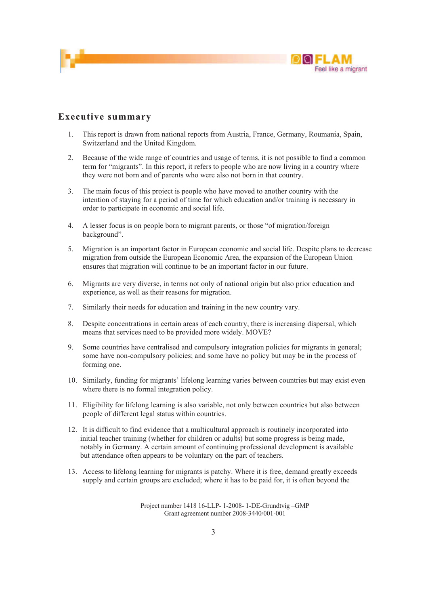

#### **Executive summary**

- 1. This report is drawn from national reports from Austria, France, Germany, Roumania, Spain, Switzerland and the United Kingdom.
- 2. Because of the wide range of countries and usage of terms, it is not possible to find a common term for "migrants". In this report, it refers to people who are now living in a country where they were not born and of parents who were also not born in that country.
- 3. The main focus of this project is people who have moved to another country with the intention of staying for a period of time for which education and/or training is necessary in order to participate in economic and social life.
- 4. A lesser focus is on people born to migrant parents, or those "of migration/foreign background".
- 5. Migration is an important factor in European economic and social life. Despite plans to decrease migration from outside the European Economic Area, the expansion of the European Union ensures that migration will continue to be an important factor in our future.
- 6. Migrants are very diverse, in terms not only of national origin but also prior education and experience, as well as their reasons for migration.
- 7. Similarly their needs for education and training in the new country vary.
- 8. Despite concentrations in certain areas of each country, there is increasing dispersal, which means that services need to be provided more widely. MOVE?
- 9. Some countries have centralised and compulsory integration policies for migrants in general; some have non-compulsory policies; and some have no policy but may be in the process of forming one.
- 10. Similarly, funding for migrants' lifelong learning varies between countries but may exist even where there is no formal integration policy.
- 11. Eligibility for lifelong learning is also variable, not only between countries but also between people of different legal status within countries.
- 12. It is difficult to find evidence that a multicultural approach is routinely incorporated into initial teacher training (whether for children or adults) but some progress is being made, notably in Germany. A certain amount of continuing professional development is available but attendance often appears to be voluntary on the part of teachers.
- 13. Access to lifelong learning for migrants is patchy. Where it is free, demand greatly exceeds supply and certain groups are excluded; where it has to be paid for, it is often beyond the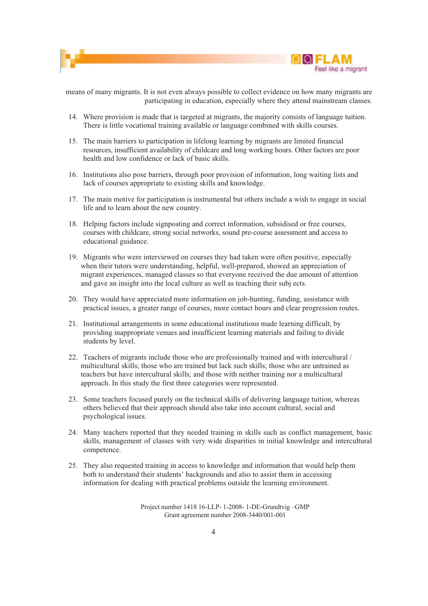



means of many migrants. It is not even always possible to collect evidence on how many migrants are participating in education, especially where they attend mainstream classes.

- 14. Where provision is made that is targeted at migrants, the majority consists of language tuition. There is little vocational training available or language combined with skills courses.
- 15. The main barriers to participation in lifelong learning by migrants are limited financial resources, insufficient availability of childcare and long working hours. Other factors are poor health and low confidence or lack of basic skills.
- 16. Institutions also pose barriers, through poor provision of information, long waiting lists and lack of courses appropriate to existing skills and knowledge.
- 17. The main motive for participation is instrumental but others include a wish to engage in social life and to learn about the new country.
- 18. Helping factors include signposting and correct information, subsidised or free courses, courses with childcare, strong social networks, sound pre-course assessment and access to educational guidance.
- 19. Migrants who were interviewed on courses they had taken were often positive, especially when their tutors were understanding, helpful, well-prepared, showed an appreciation of migrant experiences, managed classes so that everyone received the due amount of attention and gave an insight into the local culture as well as teaching their subj ects.
- 20. They would have appreciated more information on job-hunting, funding, assistance with practical issues, a greater range of courses, more contact hours and clear progression routes.
- 21. Institutional arrangements in some educational institutions made learning difficult, by providing inappropriate venues and insufficient learning materials and failing to divide students by level.
- 22. Teachers of migrants include those who are professionally trained and with intercultural / multicultural skills; those who are trained but lack such skills; those who are untrained as teachers but have intercultural skills; and those with neither training nor a multicultural approach. In this study the first three categories were represented.
- 23. Some teachers focused purely on the technical skills of delivering language tuition, whereas others believed that their approach should also take into account cultural, social and psychological issues.
- 24. Many teachers reported that they needed training in skills such as conflict management, basic skills, management of classes with very wide disparities in initial knowledge and intercultural competence.
- 25. They also requested training in access to knowledge and information that would help them both to understand their students' backgrounds and also to assist them in accessing information for dealing with practical problems outside the learning environment.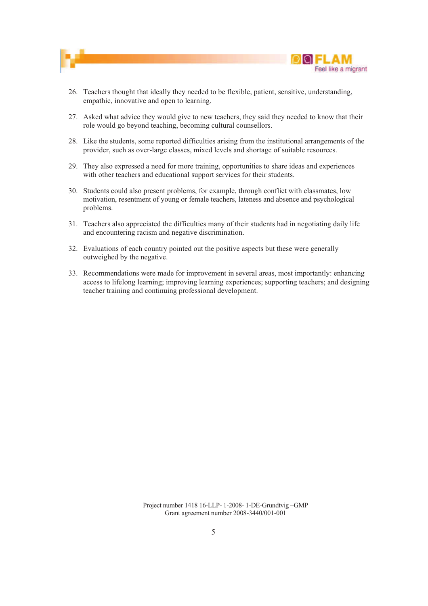



- 26. Teachers thought that ideally they needed to be flexible, patient, sensitive, understanding, empathic, innovative and open to learning.
- 27. Asked what advice they would give to new teachers, they said they needed to know that their role would go beyond teaching, becoming cultural counsellors.
- 28. Like the students, some reported difficulties arising from the institutional arrangements of the provider, such as over-large classes, mixed levels and shortage of suitable resources.
- 29. They also expressed a need for more training, opportunities to share ideas and experiences with other teachers and educational support services for their students.
- 30. Students could also present problems, for example, through conflict with classmates, low motivation, resentment of young or female teachers, lateness and absence and psychological problems.
- 31. Teachers also appreciated the difficulties many of their students had in negotiating daily life and encountering racism and negative discrimination.
- 32. Evaluations of each country pointed out the positive aspects but these were generally outweighed by the negative.
- 33. Recommendations were made for improvement in several areas, most importantly: enhancing access to lifelong learning; improving learning experiences; supporting teachers; and designing teacher training and continuing professional development.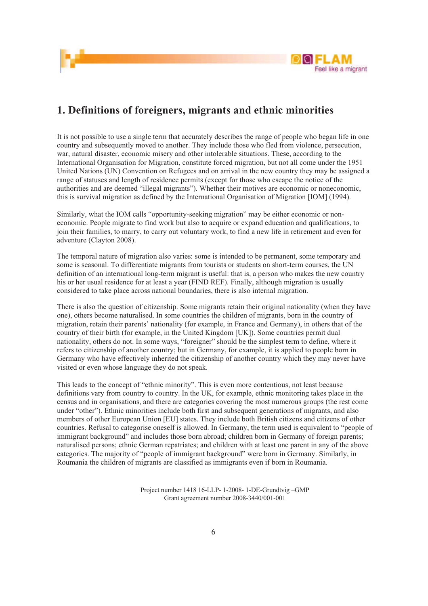



### **1. Definitions of foreigners, migrants and ethnic minorities**

It is not possible to use a single term that accurately describes the range of people who began life in one country and subsequently moved to another. They include those who fled from violence, persecution, war, natural disaster, economic misery and other intolerable situations. These, according to the International Organisation for Migration, constitute forced migration, but not all come under the 1951 United Nations (UN) Convention on Refugees and on arrival in the new country they may be assigned a range of statuses and length of residence permits (except for those who escape the notice of the authorities and are deemed "illegal migrants"). Whether their motives are economic or noneconomic, this is survival migration as defined by the International Organisation of Migration [IOM] (1994).

Similarly, what the IOM calls "opportunity-seeking migration" may be either economic or noneconomic. People migrate to find work but also to acquire or expand education and qualifications, to join their families, to marry, to carry out voluntary work, to find a new life in retirement and even for adventure (Clayton 2008).

The temporal nature of migration also varies: some is intended to be permanent, some temporary and some is seasonal. To differentiate migrants from tourists or students on short-term courses, the UN definition of an international long-term migrant is useful: that is, a person who makes the new country his or her usual residence for at least a year (FIND REF). Finally, although migration is usually considered to take place across national boundaries, there is also internal migration.

There is also the question of citizenship. Some migrants retain their original nationality (when they have one), others become naturalised. In some countries the children of migrants, born in the country of migration, retain their parents' nationality (for example, in France and Germany), in others that of the country of their birth (for example, in the United Kingdom [UK]). Some countries permit dual nationality, others do not. In some ways, "foreigner" should be the simplest term to define, where it refers to citizenship of another country; but in Germany, for example, it is applied to people born in Germany who have effectively inherited the citizenship of another country which they may never have visited or even whose language they do not speak.

This leads to the concept of "ethnic minority". This is even more contentious, not least because definitions vary from country to country. In the UK, for example, ethnic monitoring takes place in the census and in organisations, and there are categories covering the most numerous groups (the rest come under "other"). Ethnic minorities include both first and subsequent generations of migrants, and also members of other European Union [EU] states. They include both British citizens and citizens of other countries. Refusal to categorise oneself is allowed. In Germany, the term used is equivalent to "people of immigrant background" and includes those born abroad; children born in Germany of foreign parents; naturalised persons; ethnic German repatriates; and children with at least one parent in any of the above categories. The majority of "people of immigrant background" were born in Germany. Similarly, in Roumania the children of migrants are classified as immigrants even if born in Roumania.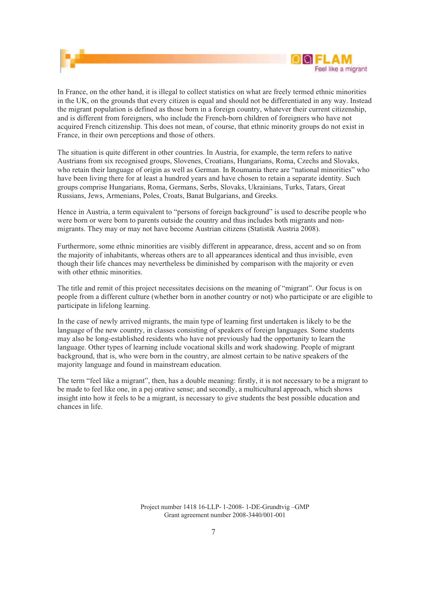



In France, on the other hand, it is illegal to collect statistics on what are freely termed ethnic minorities in the UK, on the grounds that every citizen is equal and should not be differentiated in any way. Instead the migrant population is defined as those born in a foreign country, whatever their current citizenship, and is different from foreigners, who include the French-born children of foreigners who have not acquired French citizenship. This does not mean, of course, that ethnic minority groups do not exist in France, in their own perceptions and those of others.

The situation is quite different in other countries. In Austria, for example, the term refers to native Austrians from six recognised groups, Slovenes, Croatians, Hungarians, Roma, Czechs and Slovaks, who retain their language of origin as well as German. In Roumania there are "national minorities" who have been living there for at least a hundred years and have chosen to retain a separate identity. Such groups comprise Hungarians, Roma, Germans, Serbs, Slovaks, Ukrainians, Turks, Tatars, Great Russians, Jews, Armenians, Poles, Croats, Banat Bulgarians, and Greeks.

Hence in Austria, a term equivalent to "persons of foreign background" is used to describe people who were born or were born to parents outside the country and thus includes both migrants and nonmigrants. They may or may not have become Austrian citizens (Statistik Austria 2008).

Furthermore, some ethnic minorities are visibly different in appearance, dress, accent and so on from the majority of inhabitants, whereas others are to all appearances identical and thus invisible, even though their life chances may nevertheless be diminished by comparison with the majority or even with other ethnic minorities.

The title and remit of this project necessitates decisions on the meaning of "migrant". Our focus is on people from a different culture (whether born in another country or not) who participate or are eligible to participate in lifelong learning.

In the case of newly arrived migrants, the main type of learning first undertaken is likely to be the language of the new country, in classes consisting of speakers of foreign languages. Some students may also be long-established residents who have not previously had the opportunity to learn the language. Other types of learning include vocational skills and work shadowing. People of migrant background, that is, who were born in the country, are almost certain to be native speakers of the majority language and found in mainstream education.

The term "feel like a migrant", then, has a double meaning: firstly, it is not necessary to be a migrant to be made to feel like one, in a pej orative sense; and secondly, a multicultural approach, which shows insight into how it feels to be a migrant, is necessary to give students the best possible education and chances in life.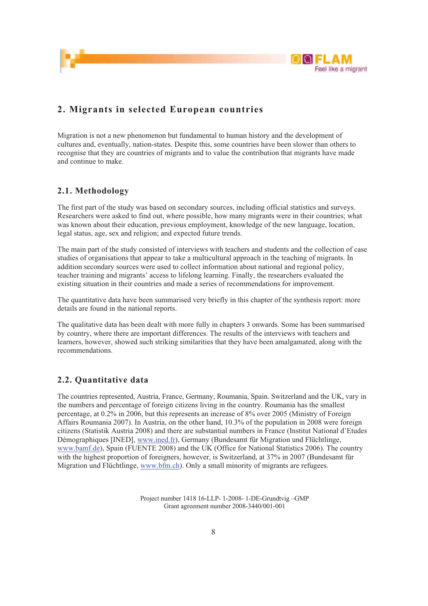

### **2. Migrants in selected European countries**

Migration is not a new phenomenon but fundamental to human history and the development of cultures and, eventually, nation-states. Despite this, some countries have been slower than others to recognise that they are countries of migrants and to value the contribution that migrants have made and continue to make.

### **2.1. Methodology**

The first part of the study was based on secondary sources, including official statistics and surveys. Researchers were asked to find out, where possible, how many migrants were in their countries; what was known about their education, previous employment, knowledge of the new language, location, legal status, age, sex and religion; and expected future trends.

The main part of the study consisted of interviews with teachers and students and the collection of case studies of organisations that appear to take a multicultural approach in the teaching of migrants. In addition secondary sources were used to collect information about national and regional policy, teacher training and migrants' access to lifelong learning. Finally, the researchers evaluated the existing situation in their countries and made a series of recommendations for improvement.

The quantitative data have been summarised very briefly in this chapter of the synthesis report: more details are found in the national reports.

The qualitative data has been dealt with more fully in chapters 3 onwards. Some has been summarised by country, where there are important differences. The results of the interviews with teachers and learners, however, showed such striking similarities that they have been amalgamated, along with the recommendations.

#### **2.2. Quantitative data**

The countries represented, Austria, France, Germany, Roumania, Spain. Switzerland and the UK, vary in the numbers and percentage of foreign citizens living in the country. Roumania has the smallest percentage, at 0.2% in 2006, but this represents an increase of 8% over 2005 (Ministry of Foreign Affairs Roumania 2007). In Austria, on the other hand, 10.3% of the population in 2008 were foreign citizens (Statistik Austria 2008) and there are substantial numbers in France (Institut National d'Etudes Démographiques [INED], www.ined.fr), Germany (Bundesamt für Migration und Flüchtlinge, www.bamf.de), Spain (FUENTE 2008) and the UK (Office for National Statistics 2006). The country with the highest proportion of foreigners, however, is Switzerland, at 37% in 2007 (Bundesamt für Migration und Flüchtlinge, www.bfm.ch). Only a small minority of migrants are refugees.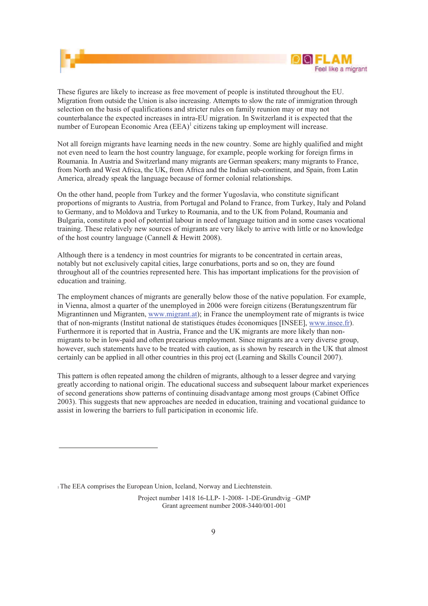

These figures are likely to increase as free movement of people is instituted throughout the EU. Migration from outside the Union is also increasing. Attempts to slow the rate of immigration through selection on the basis of qualifications and stricter rules on family reunion may or may not counterbalance the expected increases in intra-EU migration. In Switzerland it is expected that the number of European Economic Area  $(EEA)^1$  citizens taking up employment will increase.

Not all foreign migrants have learning needs in the new country. Some are highly qualified and might not even need to learn the host country language, for example, people working for foreign firms in Roumania. In Austria and Switzerland many migrants are German speakers; many migrants to France, from North and West Africa, the UK, from Africa and the Indian sub-continent, and Spain, from Latin America, already speak the language because of former colonial relationships.

On the other hand, people from Turkey and the former Yugoslavia, who constitute significant proportions of migrants to Austria, from Portugal and Poland to France, from Turkey, Italy and Poland to Germany, and to Moldova and Turkey to Roumania, and to the UK from Poland, Roumania and Bulgaria, constitute a pool of potential labour in need of language tuition and in some cases vocational training. These relatively new sources of migrants are very likely to arrive with little or no knowledge of the host country language (Cannell & Hewitt 2008).

Although there is a tendency in most countries for migrants to be concentrated in certain areas, notably but not exclusively capital cities, large conurbations, ports and so on, they are found throughout all of the countries represented here. This has important implications for the provision of education and training.

The employment chances of migrants are generally below those of the native population. For example, in Vienna, almost a quarter of the unemployed in 2006 were foreign citizens (Beratungszentrum für Migrantinnen und Migranten, www.migrant.at); in France the unemployment rate of migrants is twice that of non-migrants (Institut national de statistiques études économiques [INSEE], www.insee.fr). Furthermore it is reported that in Austria, France and the UK migrants are more likely than nonmigrants to be in low-paid and often precarious employment. Since migrants are a very diverse group, however, such statements have to be treated with caution, as is shown by research in the UK that almost certainly can be applied in all other countries in this proj ect (Learning and Skills Council 2007).

This pattern is often repeated among the children of migrants, although to a lesser degree and varying greatly according to national origin. The educational success and subsequent labour market experiences of second generations show patterns of continuing disadvantage among most groups (Cabinet Office 2003). This suggests that new approaches are needed in education, training and vocational guidance to assist in lowering the barriers to full participation in economic life.

<sup>1</sup>The EEA comprises the European Union, Iceland, Norway and Liechtenstein.

Project number 1418 16-LLP- 1-2008- 1-DE-Grundtvig –GMP Grant agreement number 2008-3440/001-001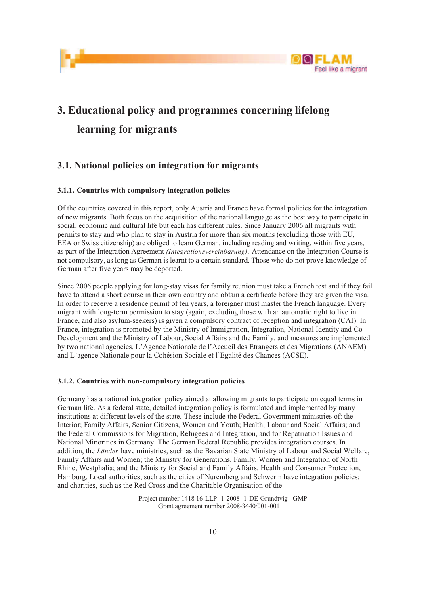



## **3. Educational policy and programmes concerning lifelong learning for migrants**

### **3.1. National policies on integration for migrants**

#### **3.1.1. Countries with compulsory integration policies**

Of the countries covered in this report, only Austria and France have formal policies for the integration of new migrants. Both focus on the acquisition of the national language as the best way to participate in social, economic and cultural life but each has different rules. Since January 2006 all migrants with permits to stay and who plan to stay in Austria for more than six months (excluding those with EU, EEA or Swiss citizenship) are obliged to learn German, including reading and writing, within five years, as part of the Integration Agreement *(Integrationsvereinbarung).* Attendance on the Integration Course is not compulsory, as long as German is learnt to a certain standard. Those who do not prove knowledge of German after five years may be deported.

Since 2006 people applying for long-stay visas for family reunion must take a French test and if they fail have to attend a short course in their own country and obtain a certificate before they are given the visa. In order to receive a residence permit of ten years, a foreigner must master the French language. Every migrant with long-term permission to stay (again, excluding those with an automatic right to live in France, and also asylum-seekers) is given a compulsory contract of reception and integration (CAI). In France, integration is promoted by the Ministry of Immigration, Integration, National Identity and Co-Development and the Ministry of Labour, Social Affairs and the Family, and measures are implemented by two national agencies, L'Agence Nationale de l'Accueil des Etrangers et des Migrations (ANAEM) and L'agence Nationale pour la Cohésion Sociale et l'Egalité des Chances (ACSE).

#### **3.1.2. Countries with non-compulsory integration policies**

Germany has a national integration policy aimed at allowing migrants to participate on equal terms in German life. As a federal state, detailed integration policy is formulated and implemented by many institutions at different levels of the state. These include the Federal Government ministries of: the Interior; Family Affairs, Senior Citizens, Women and Youth; Health; Labour and Social Affairs; and the Federal Commissions for Migration, Refugees and Integration, and for Repatriation Issues and National Minorities in Germany. The German Federal Republic provides integration courses. In addition, the *Länder* have ministries, such as the Bavarian State Ministry of Labour and Social Welfare, Family Affairs and Women; the Ministry for Generations, Family, Women and Integration of North Rhine, Westphalia; and the Ministry for Social and Family Affairs, Health and Consumer Protection, Hamburg. Local authorities, such as the cities of Nuremberg and Schwerin have integration policies; and charities, such as the Red Cross and the Charitable Organisation of the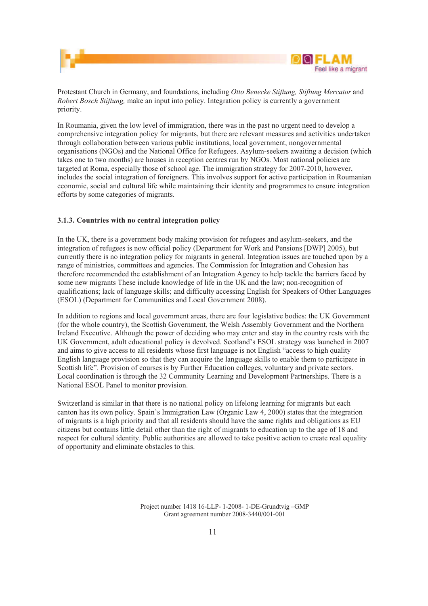



Protestant Church in Germany, and foundations, including *Otto Benecke Stiftung, Stiftung Mercator* and *Robert Bosch Stiftung,* make an input into policy. Integration policy is currently a government priority.

In Roumania, given the low level of immigration, there was in the past no urgent need to develop a comprehensive integration policy for migrants, but there are relevant measures and activities undertaken through collaboration between various public institutions, local government, nongovernmental organisations (NGOs) and the National Office for Refugees. Asylum-seekers awaiting a decision (which takes one to two months) are houses in reception centres run by NGOs. Most national policies are targeted at Roma, especially those of school age. The immigration strategy for 2007-2010, however, includes the social integration of foreigners. This involves support for active participation in Roumanian economic, social and cultural life while maintaining their identity and programmes to ensure integration efforts by some categories of migrants.

#### **3.1.3. Countries with no central integration policy**

In the UK, there is a government body making provision for refugees and asylum-seekers, and the integration of refugees is now official policy (Department for Work and Pensions [DWP] 2005), but currently there is no integration policy for migrants in general. Integration issues are touched upon by a range of ministries, committees and agencies. The Commission for Integration and Cohesion has therefore recommended the establishment of an Integration Agency to help tackle the barriers faced by some new migrants These include knowledge of life in the UK and the law; non-recognition of qualifications; lack of language skills; and difficulty accessing English for Speakers of Other Languages (ESOL) (Department for Communities and Local Government 2008).

In addition to regions and local government areas, there are four legislative bodies: the UK Government (for the whole country), the Scottish Government, the Welsh Assembly Government and the Northern Ireland Executive. Although the power of deciding who may enter and stay in the country rests with the UK Government, adult educational policy is devolved. Scotland's ESOL strategy was launched in 2007 and aims to give access to all residents whose first language is not English "access to high quality English language provision so that they can acquire the language skills to enable them to participate in Scottish life". Provision of courses is by Further Education colleges, voluntary and private sectors. Local coordination is through the 32 Community Learning and Development Partnerships. There is a National ESOL Panel to monitor provision.

Switzerland is similar in that there is no national policy on lifelong learning for migrants but each canton has its own policy. Spain's Immigration Law (Organic Law 4, 2000) states that the integration of migrants is a high priority and that all residents should have the same rights and obligations as EU citizens but contains little detail other than the right of migrants to education up to the age of 18 and respect for cultural identity. Public authorities are allowed to take positive action to create real equality of opportunity and eliminate obstacles to this.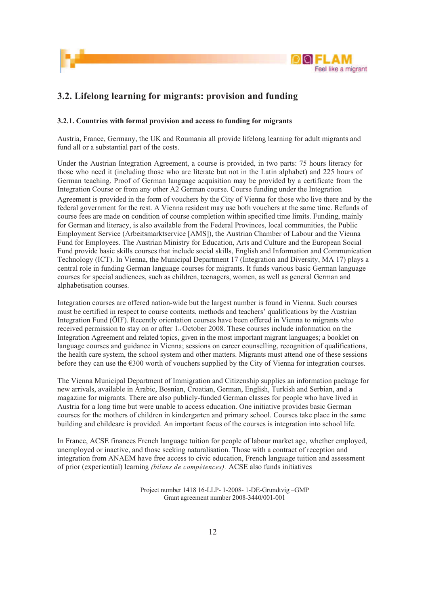



### **3.2. Lifelong learning for migrants: provision and funding**

#### **3.2.1. Countries with formal provision and access to funding for migrants**

Austria, France, Germany, the UK and Roumania all provide lifelong learning for adult migrants and fund all or a substantial part of the costs.

Under the Austrian Integration Agreement, a course is provided, in two parts: 75 hours literacy for those who need it (including those who are literate but not in the Latin alphabet) and 225 hours of German teaching. Proof of German language acquisition may be provided by a certificate from the Integration Course or from any other A2 German course. Course funding under the Integration Agreement is provided in the form of vouchers by the City of Vienna for those who live there and by the federal government for the rest. A Vienna resident may use both vouchers at the same time. Refunds of course fees are made on condition of course completion within specified time limits. Funding, mainly for German and literacy, is also available from the Federal Provinces, local communities, the Public Employment Service (Arbeitsmarktservice [AMS]), the Austrian Chamber of Labour and the Vienna Fund for Employees. The Austrian Ministry for Education, Arts and Culture and the European Social Fund provide basic skills courses that include social skills, English and Information and Communication Technology (ICT). In Vienna, the Municipal Department 17 (Integration and Diversity, MA 17) plays a central role in funding German language courses for migrants. It funds various basic German language courses for special audiences, such as children, teenagers, women, as well as general German and alphabetisation courses.

Integration courses are offered nation-wide but the largest number is found in Vienna. Such courses must be certified in respect to course contents, methods and teachers' qualifications by the Austrian Integration Fund (ÖIF). Recently orientation courses have been offered in Vienna to migrants who received permission to stay on or after 1<sub>st</sub> October 2008. These courses include information on the Integration Agreement and related topics, given in the most important migrant languages; a booklet on language courses and guidance in Vienna; sessions on career counselling, recognition of qualifications, the health care system, the school system and other matters. Migrants must attend one of these sessions before they can use the €300 worth of vouchers supplied by the City of Vienna for integration courses.

The Vienna Municipal Department of Immigration and Citizenship supplies an information package for new arrivals, available in Arabic, Bosnian, Croatian, German, English, Turkish and Serbian, and a magazine for migrants. There are also publicly-funded German classes for people who have lived in Austria for a long time but were unable to access education. One initiative provides basic German courses for the mothers of children in kindergarten and primary school. Courses take place in the same building and childcare is provided. An important focus of the courses is integration into school life.

In France, ACSE finances French language tuition for people of labour market age, whether employed, unemployed or inactive, and those seeking naturalisation. Those with a contract of reception and integration from ANAEM have free access to civic education, French language tuition and assessment of prior (experiential) learning *(bilans de compétences).* ACSE also funds initiatives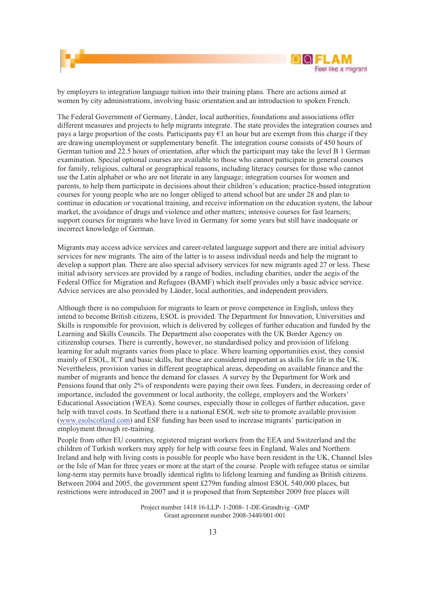

by employers to integration language tuition into their training plans. There are actions aimed at women by city administrations, involving basic orientation and an introduction to spoken French.

The Federal Government of Germany, Länder, local authorities, foundations and associations offer different measures and projects to help migrants integrate. The state provides the integration courses and pays a large proportion of the costs. Participants pay  $\epsilon$ 1 an hour but are exempt from this charge if they are drawing unemployment or supplementary benefit. The integration course consists of 450 hours of German tuition and 22.5 hours of orientation, after which the participant may take the level B 1 German examination. Special optional courses are available to those who cannot participate in general courses for family, religious, cultural or geographical reasons, including literacy courses for those who cannot use the Latin alphabet or who are not literate in any language; integration courses for women and parents, to help them participate in decisions about their children's education; practice-based integration courses for young people who are no longer obliged to attend school but are under 28 and plan to continue in education or vocational training, and receive information on the education system, the labour market, the avoidance of drugs and violence and other matters; intensive courses for fast learners; support courses for migrants who have lived in Germany for some years but still have inadequate or incorrect knowledge of German.

Migrants may access advice services and career-related language support and there are initial advisory services for new migrants. The aim of the latter is to assess individual needs and help the migrant to develop a support plan. There are also special advisory services for new migrants aged 27 or less. These initial advisory services are provided by a range of bodies, including charities, under the aegis of the Federal Office for Migration and Refugees (BAMF) which itself provides only a basic advice service. Advice services are also provided by Länder, local authorities, and independent providers.

Although there is no compulsion for migrants to learn or prove competence in English, unless they intend to become British citizens, ESOL is provided. The Department for Innovation, Universities and Skills is responsible for provision, which is delivered by colleges of further education and funded by the Learning and Skills Councils. The Department also cooperates with the UK Border Agency on citizenship courses. There is currently, however, no standardised policy and provision of lifelong learning for adult migrants varies from place to place. Where learning opportunities exist, they consist mainly of ESOL, ICT and basic skills, but these are considered important as skills for life in the UK. Nevertheless, provision varies in different geographical areas, depending on available finance and the number of migrants and hence the demand for classes. A survey by the Department for Work and Pensions found that only 2% of respondents were paying their own fees. Funders, in decreasing order of importance, included the government or local authority, the college, employers and the Workers' Educational Association (WEA). Some courses, especially those in colleges of further education, gave help with travel costs. In Scotland there is a national ESOL web site to promote available provision (www.esolscotland.com) and ESF funding has been used to increase migrants' participation in employment through re-training.

People from other EU countries, registered migrant workers from the EEA and Switzerland and the children of Turkish workers may apply for help with course fees in England, Wales and Northern Ireland and help with living costs is possible for people who have been resident in the UK, Channel Isles or the Isle of Man for three years or more at the start of the course. People with refugee status or similar long-term stay permits have broadly identical rights to lifelong learning and funding as British citizens. Between 2004 and 2005, the government spent £279m funding almost ESOL 540,000 places, but restrictions were introduced in 2007 and it is proposed that from September 2009 free places will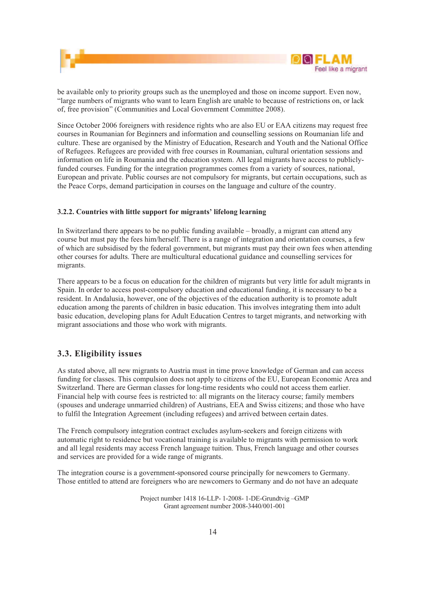



be available only to priority groups such as the unemployed and those on income support. Even now, "large numbers of migrants who want to learn English are unable to because of restrictions on, or lack of, free provision" (Communities and Local Government Committee 2008).

Since October 2006 foreigners with residence rights who are also EU or EAA citizens may request free courses in Roumanian for Beginners and information and counselling sessions on Roumanian life and culture. These are organised by the Ministry of Education, Research and Youth and the National Office of Refugees. Refugees are provided with free courses in Roumanian, cultural orientation sessions and information on life in Roumania and the education system. All legal migrants have access to publiclyfunded courses. Funding for the integration programmes comes from a variety of sources, national, European and private. Public courses are not compulsory for migrants, but certain occupations, such as the Peace Corps, demand participation in courses on the language and culture of the country.

#### **3.2.2. Countries with little support for migrants' lifelong learning**

In Switzerland there appears to be no public funding available – broadly, a migrant can attend any course but must pay the fees him/herself. There is a range of integration and orientation courses, a few of which are subsidised by the federal government, but migrants must pay their own fees when attending other courses for adults. There are multicultural educational guidance and counselling services for migrants.

There appears to be a focus on education for the children of migrants but very little for adult migrants in Spain. In order to access post-compulsory education and educational funding, it is necessary to be a resident. In Andalusia, however, one of the objectives of the education authority is to promote adult education among the parents of children in basic education. This involves integrating them into adult basic education, developing plans for Adult Education Centres to target migrants, and networking with migrant associations and those who work with migrants.

#### **3.3. Eligibility issues**

As stated above, all new migrants to Austria must in time prove knowledge of German and can access funding for classes. This compulsion does not apply to citizens of the EU, European Economic Area and Switzerland. There are German classes for long-time residents who could not access them earlier. Financial help with course fees is restricted to: all migrants on the literacy course; family members (spouses and underage unmarried children) of Austrians, EEA and Swiss citizens; and those who have to fulfil the Integration Agreement (including refugees) and arrived between certain dates.

The French compulsory integration contract excludes asylum-seekers and foreign citizens with automatic right to residence but vocational training is available to migrants with permission to work and all legal residents may access French language tuition. Thus, French language and other courses and services are provided for a wide range of migrants.

The integration course is a government-sponsored course principally for newcomers to Germany. Those entitled to attend are foreigners who are newcomers to Germany and do not have an adequate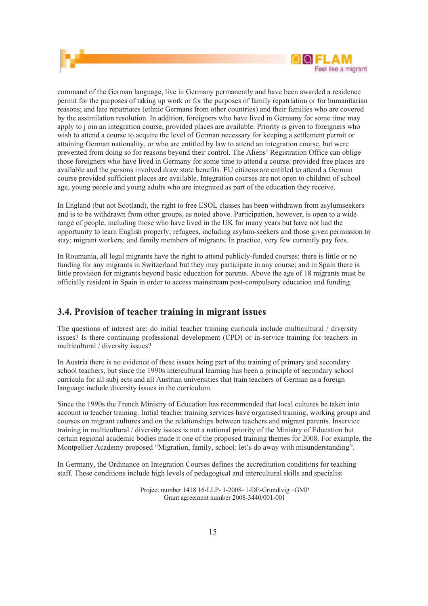

command of the German language, live in Germany permanently and have been awarded a residence permit for the purposes of taking up work or for the purposes of family repatriation or for humanitarian reasons; and late repatriates (ethnic Germans from other countries) and their families who are covered by the assimilation resolution. In addition, foreigners who have lived in Germany for some time may apply to j oin an integration course, provided places are available. Priority is given to foreigners who wish to attend a course to acquire the level of German necessary for keeping a settlement permit or attaining German nationality, or who are entitled by law to attend an integration course, but were prevented from doing so for reasons beyond their control. The Aliens' Registration Office can oblige those foreigners who have lived in Germany for some time to attend a course, provided free places are available and the persons involved draw state benefits. EU citizens are entitled to attend a German course provided sufficient places are available. Integration courses are not open to children of school age, young people and young adults who are integrated as part of the education they receive.

In England (but not Scotland), the right to free ESOL classes has been withdrawn from asylumseekers and is to be withdrawn from other groups, as noted above. Participation, however, is open to a wide range of people, including those who have lived in the UK for many years but have not had the opportunity to learn English properly; refugees, including asylum-seekers and those given permission to stay; migrant workers; and family members of migrants. In practice, very few currently pay fees.

In Roumania, all legal migrants have the right to attend publicly-funded courses; there is little or no funding for any migrants in Switzerland but they may participate in any course; and in Spain there is little provision for migrants beyond basic education for parents. Above the age of 18 migrants must be officially resident in Spain in order to access mainstream post-compulsory education and funding.

### **3.4. Provision of teacher training in migrant issues**

The questions of interest are: do initial teacher training curricula include multicultural / diversity issues? Is there continuing professional development (CPD) or in-service training for teachers in multicultural / diversity issues?

In Austria there is no evidence of these issues being part of the training of primary and secondary school teachers, but since the 1990s intercultural learning has been a principle of secondary school curricula for all subj ects and all Austrian universities that train teachers of German as a foreign language include diversity issues in the curriculum.

Since the 1990s the French Ministry of Education has recommended that local cultures be taken into account in teacher training. Initial teacher training services have organised training, working groups and courses on migrant cultures and on the relationships between teachers and migrant parents. Inservice training in multicultural / diversity issues is not a national priority of the Ministry of Education but certain regional academic bodies made it one of the proposed training themes for 2008. For example, the Montpellier Academy proposed "Migration, family, school: let's do away with misunderstanding".

In Germany, the Ordinance on Integration Courses defines the accreditation conditions for teaching staff. These conditions include high levels of pedagogical and intercultural skills and specialist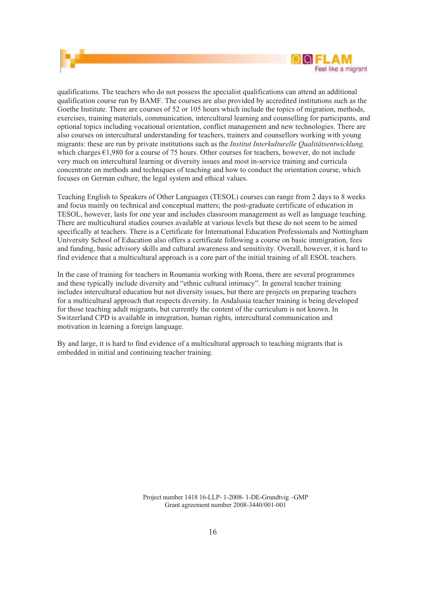

qualifications. The teachers who do not possess the specialist qualifications can attend an additional qualification course run by BAMF. The courses are also provided by accredited institutions such as the Goethe Institute. There are courses of 52 or 105 hours which include the topics of migration, methods, exercises, training materials, communication, intercultural learning and counselling for participants, and optional topics including vocational orientation, conflict management and new technologies. There are also courses on intercultural understanding for teachers, trainers and counsellors working with young migrants: these are run by private institutions such as the *Institut Interkulturelle Qualitätsentwicklung,*  which charges €1,980 for a course of 75 hours. Other courses for teachers, however, do not include very much on intercultural learning or diversity issues and most in-service training and curricula concentrate on methods and techniques of teaching and how to conduct the orientation course, which focuses on German culture, the legal system and ethical values.

Teaching English to Speakers of Other Languages (TESOL) courses can range from 2 days to 8 weeks and focus mainly on technical and conceptual matters; the post-graduate certificate of education in TESOL, however, lasts for one year and includes classroom management as well as language teaching. There are multicultural studies courses available at various levels but these do not seem to be aimed specifically at teachers. There is a Certificate for International Education Professionals and Nottingham University School of Education also offers a certificate following a course on basic immigration, fees and funding, basic advisory skills and cultural awareness and sensitivity. Overall, however, it is hard to find evidence that a multicultural approach is a core part of the initial training of all ESOL teachers.

In the case of training for teachers in Roumania working with Roma, there are several programmes and these typically include diversity and "ethnic cultural intimacy". In general teacher training includes intercultural education but not diversity issues, but there are projects on preparing teachers for a multicultural approach that respects diversity. In Andalusia teacher training is being developed for those teaching adult migrants, but currently the content of the curriculum is not known. In Switzerland CPD is available in integration, human rights, intercultural communication and motivation in learning a foreign language.

By and large, it is hard to find evidence of a multicultural approach to teaching migrants that is embedded in initial and continuing teacher training.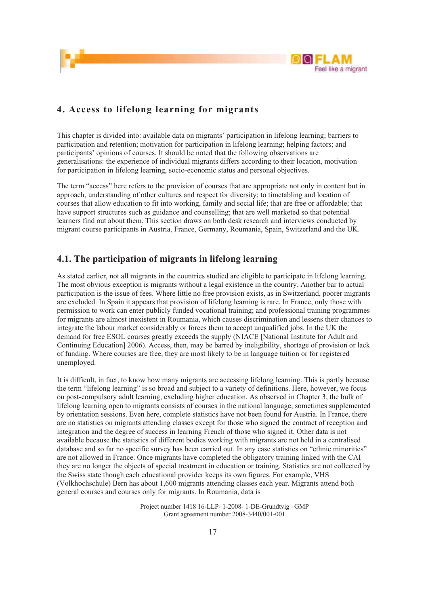

### **4. Access to lifelong learning for migrants**

This chapter is divided into: available data on migrants' participation in lifelong learning; barriers to participation and retention; motivation for participation in lifelong learning; helping factors; and participants' opinions of courses. It should be noted that the following observations are generalisations: the experience of individual migrants differs according to their location, motivation for participation in lifelong learning, socio-economic status and personal objectives.

The term "access" here refers to the provision of courses that are appropriate not only in content but in approach, understanding of other cultures and respect for diversity; to timetabling and location of courses that allow education to fit into working, family and social life; that are free or affordable; that have support structures such as guidance and counselling; that are well marketed so that potential learners find out about them. This section draws on both desk research and interviews conducted by migrant course participants in Austria, France, Germany, Roumania, Spain, Switzerland and the UK.

### **4.1. The participation of migrants in lifelong learning**

As stated earlier, not all migrants in the countries studied are eligible to participate in lifelong learning. The most obvious exception is migrants without a legal existence in the country. Another bar to actual participation is the issue of fees. Where little no free provision exists, as in Switzerland, poorer migrants are excluded. In Spain it appears that provision of lifelong learning is rare. In France, only those with permission to work can enter publicly funded vocational training; and professional training programmes for migrants are almost inexistent in Roumania, which causes discrimination and lessens their chances to integrate the labour market considerably or forces them to accept unqualified jobs. In the UK the demand for free ESOL courses greatly exceeds the supply (NIACE [National Institute for Adult and Continuing Education] 2006). Access, then, may be barred by ineligibility, shortage of provision or lack of funding. Where courses are free, they are most likely to be in language tuition or for registered unemployed.

It is difficult, in fact, to know how many migrants are accessing lifelong learning. This is partly because the term "lifelong learning" is so broad and subject to a variety of definitions. Here, however, we focus on post-compulsory adult learning, excluding higher education. As observed in Chapter 3, the bulk of lifelong learning open to migrants consists of courses in the national language, sometimes supplemented by orientation sessions. Even here, complete statistics have not been found for Austria. In France, there are no statistics on migrants attending classes except for those who signed the contract of reception and integration and the degree of success in learning French of those who signed it. Other data is not available because the statistics of different bodies working with migrants are not held in a centralised database and so far no specific survey has been carried out. In any case statistics on "ethnic minorities" are not allowed in France. Once migrants have completed the obligatory training linked with the CAI they are no longer the objects of special treatment in education or training. Statistics are not collected by the Swiss state though each educational provider keeps its own figures. For example, VHS (Volkhochschule) Bern has about 1,600 migrants attending classes each year. Migrants attend both general courses and courses only for migrants. In Roumania, data is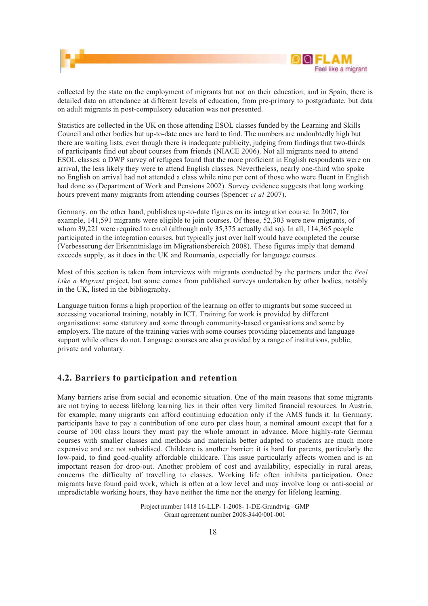

collected by the state on the employment of migrants but not on their education; and in Spain, there is detailed data on attendance at different levels of education, from pre-primary to postgraduate, but data on adult migrants in post-compulsory education was not presented.

Statistics are collected in the UK on those attending ESOL classes funded by the Learning and Skills Council and other bodies but up-to-date ones are hard to find. The numbers are undoubtedly high but there are waiting lists, even though there is inadequate publicity, judging from findings that two-thirds of participants find out about courses from friends (NIACE 2006). Not all migrants need to attend ESOL classes: a DWP survey of refugees found that the more proficient in English respondents were on arrival, the less likely they were to attend English classes. Nevertheless, nearly one-third who spoke no English on arrival had not attended a class while nine per cent of those who were fluent in English had done so (Department of Work and Pensions 2002). Survey evidence suggests that long working hours prevent many migrants from attending courses (Spencer *et al* 2007).

Germany, on the other hand, publishes up-to-date figures on its integration course. In 2007, for example, 141,591 migrants were eligible to join courses. Of these, 52,303 were new migrants, of whom 39,221 were required to enrol (although only 35,375 actually did so). In all, 114,365 people participated in the integration courses, but typically just over half would have completed the course (Verbesserung der Erkenntnislage im Migrationsbereich 2008). These figures imply that demand exceeds supply, as it does in the UK and Roumania, especially for language courses.

Most of this section is taken from interviews with migrants conducted by the partners under the *Feel Like a Migrant* project, but some comes from published surveys undertaken by other bodies, notably in the UK, listed in the bibliography.

Language tuition forms a high proportion of the learning on offer to migrants but some succeed in accessing vocational training, notably in ICT. Training for work is provided by different organisations: some statutory and some through community-based organisations and some by employers. The nature of the training varies with some courses providing placements and language support while others do not. Language courses are also provided by a range of institutions, public, private and voluntary.

### **4.2. Barriers to participation and retention**

Many barriers arise from social and economic situation. One of the main reasons that some migrants are not trying to access lifelong learning lies in their often very limited financial resources. In Austria, for example, many migrants can afford continuing education only if the AMS funds it. In Germany, participants have to pay a contribution of one euro per class hour, a nominal amount except that for a course of 100 class hours they must pay the whole amount in advance. More highly-rate German courses with smaller classes and methods and materials better adapted to students are much more expensive and are not subsidised. Childcare is another barrier: it is hard for parents, particularly the low-paid, to find good-quality affordable childcare. This issue particularly affects women and is an important reason for drop-out. Another problem of cost and availability, especially in rural areas, concerns the difficulty of travelling to classes. Working life often inhibits participation. Once migrants have found paid work, which is often at a low level and may involve long or anti-social or unpredictable working hours, they have neither the time nor the energy for lifelong learning.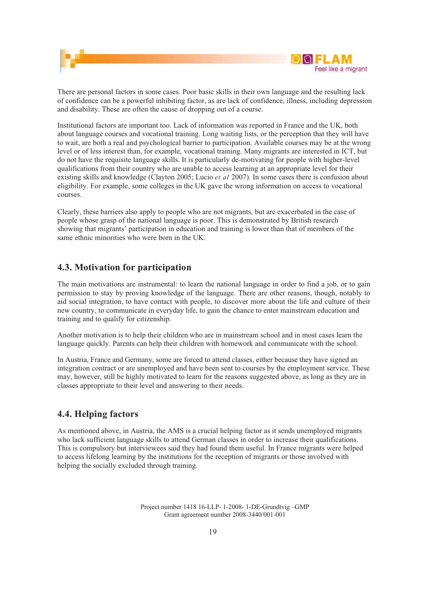

There are personal factors in some cases. Poor basic skills in their own language and the resulting lack of confidence can be a powerful inhibiting factor, as are lack of confidence, illness, including depression and disability. These are often the cause of dropping out of a course.

Institutional factors are important too. Lack of information was reported in France and the UK, both about language courses and vocational training. Long waiting lists, or the perception that they will have to wait, are both a real and psychological barrier to participation. Available courses may be at the wrong level or of less interest than, for example, vocational training. Many migrants are interested in ICT, but do not have the requisite language skills. It is particularly de-motivating for people with higher-level qualifications from their country who are unable to access learning at an appropriate level for their existing skills and knowledge (Clayton 2005; Lucio *et al* 2007). In some cases there is confusion about eligibility. For example, some colleges in the UK gave the wrong information on access to vocational courses.

Clearly, these barriers also apply to people who are not migrants, but are exacerbated in the case of people whose grasp of the national language is poor. This is demonstrated by British research showing that migrants' participation in education and training is lower than that of members of the same ethnic minorities who were born in the UK.

### **4.3. Motivation for participation**

The main motivations are instrumental: to learn the national language in order to find a job, or to gain permission to stay by proving knowledge of the language. There are other reasons, though, notably to aid social integration, to have contact with people, to discover more about the life and culture of their new country, to communicate in everyday life, to gain the chance to enter mainstream education and training and to qualify for citizenship.

Another motivation is to help their children who are in mainstream school and in most cases learn the language quickly. Parents can help their children with homework and communicate with the school.

In Austria, France and Germany, some are forced to attend classes, either because they have signed an integration contract or are unemployed and have been sent to courses by the employment service. These may, however, still be highly motivated to learn for the reasons suggested above, as long as they are in classes appropriate to their level and answering to their needs.

### **4.4. Helping factors**

As mentioned above, in Austria, the AMS is a crucial helping factor as it sends unemployed migrants who lack sufficient language skills to attend German classes in order to increase their qualifications. This is compulsory but interviewees said they had found them useful. In France migrants were helped to access lifelong learning by the institutions for the reception of migrants or those involved with helping the socially excluded through training.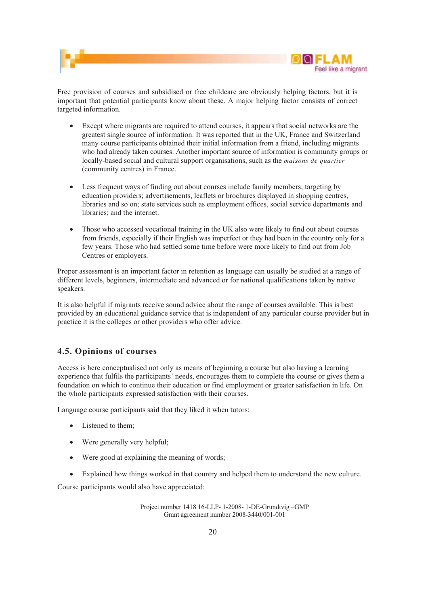



Free provision of courses and subsidised or free childcare are obviously helping factors, but it is important that potential participants know about these. A major helping factor consists of correct targeted information.

- ! Except where migrants are required to attend courses, it appears that social networks are the greatest single source of information. It was reported that in the UK, France and Switzerland many course participants obtained their initial information from a friend, including migrants who had already taken courses. Another important source of information is community groups or locally-based social and cultural support organisations, such as the *maisons de quartier*  (community centres) in France.
- ! Less frequent ways of finding out about courses include family members; targeting by education providers; advertisements, leaflets or brochures displayed in shopping centres, libraries and so on; state services such as employment offices, social service departments and libraries; and the internet.
- Those who accessed vocational training in the UK also were likely to find out about courses from friends, especially if their English was imperfect or they had been in the country only for a few years. Those who had settled some time before were more likely to find out from Job Centres or employers.

Proper assessment is an important factor in retention as language can usually be studied at a range of different levels, beginners, intermediate and advanced or for national qualifications taken by native speakers.

It is also helpful if migrants receive sound advice about the range of courses available. This is best provided by an educational guidance service that is independent of any particular course provider but in practice it is the colleges or other providers who offer advice.

### **4.5. Opinions of courses**

Access is here conceptualised not only as means of beginning a course but also having a learning experience that fulfils the participants' needs, encourages them to complete the course or gives them a foundation on which to continue their education or find employment or greater satisfaction in life. On the whole participants expressed satisfaction with their courses.

Language course participants said that they liked it when tutors:

- Listened to them:
- Were generally very helpful;
- Were good at explaining the meaning of words;
- ! Explained how things worked in that country and helped them to understand the new culture.

Course participants would also have appreciated: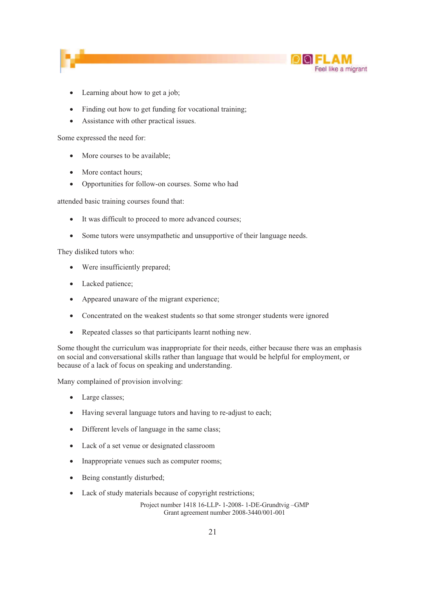

- Learning about how to get a job;
- Finding out how to get funding for vocational training;
- ! Assistance with other practical issues.

Some expressed the need for:

- ! More courses to be available;
- More contact hours:
- ! Opportunities for follow-on courses. Some who had

attended basic training courses found that:

- ! It was difficult to proceed to more advanced courses;
- Some tutors were unsympathetic and unsupportive of their language needs.

They disliked tutors who:

- Were insufficiently prepared;
- Lacked patience;
- ! Appeared unaware of the migrant experience;
- Concentrated on the weakest students so that some stronger students were ignored
- ! Repeated classes so that participants learnt nothing new.

Some thought the curriculum was inappropriate for their needs, either because there was an emphasis on social and conversational skills rather than language that would be helpful for employment, or because of a lack of focus on speaking and understanding.

Many complained of provision involving:

- Large classes;
- ! Having several language tutors and having to re-adjust to each;
- ! Different levels of language in the same class;
- ! Lack of a set venue or designated classroom
- ! Inappropriate venues such as computer rooms;
- Being constantly disturbed;
- Lack of study materials because of copyright restrictions;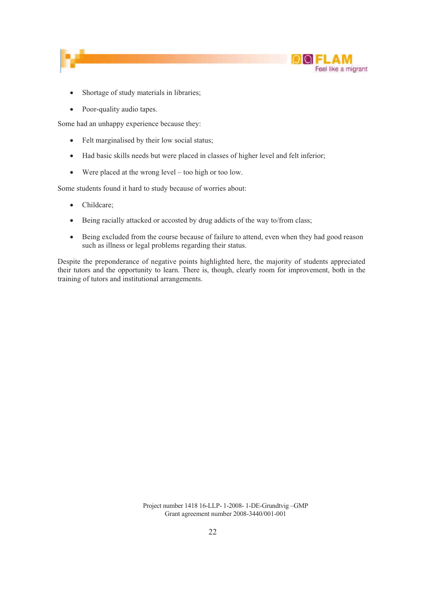



- Shortage of study materials in libraries;
- Poor-quality audio tapes.

Some had an unhappy experience because they:

- Felt marginalised by their low social status;
- ! Had basic skills needs but were placed in classes of higher level and felt inferior;
- ! Were placed at the wrong level too high or too low.

Some students found it hard to study because of worries about:

- Childcare;
- ! Being racially attacked or accosted by drug addicts of the way to/from class;
- Being excluded from the course because of failure to attend, even when they had good reason such as illness or legal problems regarding their status.

Despite the preponderance of negative points highlighted here, the majority of students appreciated their tutors and the opportunity to learn. There is, though, clearly room for improvement, both in the training of tutors and institutional arrangements.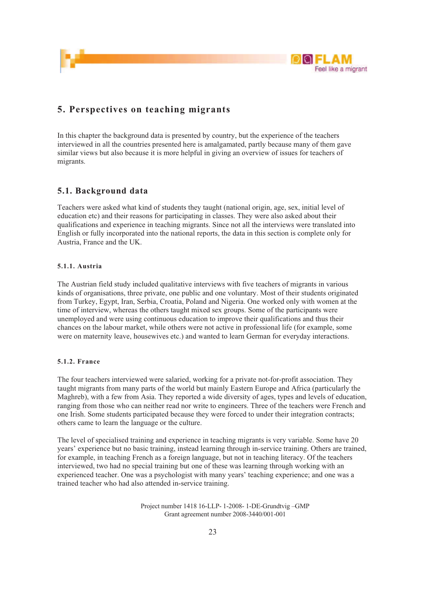

### **5. Perspectives on teaching migrants**

In this chapter the background data is presented by country, but the experience of the teachers interviewed in all the countries presented here is amalgamated, partly because many of them gave similar views but also because it is more helpful in giving an overview of issues for teachers of migrants.

#### **5.1. Background data**

Teachers were asked what kind of students they taught (national origin, age, sex, initial level of education etc) and their reasons for participating in classes. They were also asked about their qualifications and experience in teaching migrants. Since not all the interviews were translated into English or fully incorporated into the national reports, the data in this section is complete only for Austria, France and the UK.

#### **5.1.1. Austria**

The Austrian field study included qualitative interviews with five teachers of migrants in various kinds of organisations, three private, one public and one voluntary. Most of their students originated from Turkey, Egypt, Iran, Serbia, Croatia, Poland and Nigeria. One worked only with women at the time of interview, whereas the others taught mixed sex groups. Some of the participants were unemployed and were using continuous education to improve their qualifications and thus their chances on the labour market, while others were not active in professional life (for example, some were on maternity leave, housewives etc.) and wanted to learn German for everyday interactions.

#### **5.1.2. France**

The four teachers interviewed were salaried, working for a private not-for-profit association. They taught migrants from many parts of the world but mainly Eastern Europe and Africa (particularly the Maghreb), with a few from Asia. They reported a wide diversity of ages, types and levels of education, ranging from those who can neither read nor write to engineers. Three of the teachers were French and one Irish. Some students participated because they were forced to under their integration contracts; others came to learn the language or the culture.

The level of specialised training and experience in teaching migrants is very variable. Some have 20 years' experience but no basic training, instead learning through in-service training. Others are trained, for example, in teaching French as a foreign language, but not in teaching literacy. Of the teachers interviewed, two had no special training but one of these was learning through working with an experienced teacher. One was a psychologist with many years' teaching experience; and one was a trained teacher who had also attended in-service training.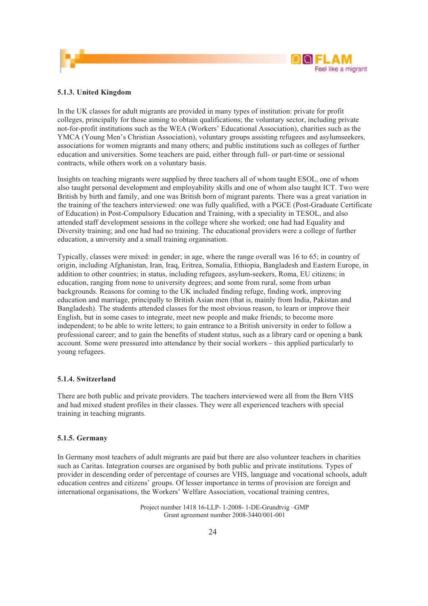



#### **5.1.3. United Kingdom**

In the UK classes for adult migrants are provided in many types of institution: private for profit colleges, principally for those aiming to obtain qualifications; the voluntary sector, including private not-for-profit institutions such as the WEA (Workers' Educational Association), charities such as the YMCA (Young Men's Christian Association), voluntary groups assisting refugees and asylumseekers, associations for women migrants and many others; and public institutions such as colleges of further education and universities. Some teachers are paid, either through full- or part-time or sessional contracts, while others work on a voluntary basis.

Insights on teaching migrants were supplied by three teachers all of whom taught ESOL, one of whom also taught personal development and employability skills and one of whom also taught ICT. Two were British by birth and family, and one was British born of migrant parents. There was a great variation in the training of the teachers interviewed: one was fully qualified, with a PGCE (Post-Graduate Certificate of Education) in Post-Compulsory Education and Training, with a speciality in TESOL, and also attended staff development sessions in the college where she worked; one had had Equality and Diversity training; and one had had no training. The educational providers were a college of further education, a university and a small training organisation.

Typically, classes were mixed: in gender; in age, where the range overall was 16 to 65; in country of origin, including Afghanistan, Iran, Iraq, Eritrea, Somalia, Ethiopia, Bangladesh and Eastern Europe, in addition to other countries; in status, including refugees, asylum-seekers, Roma, EU citizens; in education, ranging from none to university degrees; and some from rural, some from urban backgrounds. Reasons for coming to the UK included finding refuge, finding work, improving education and marriage, principally to British Asian men (that is, mainly from India, Pakistan and Bangladesh). The students attended classes for the most obvious reason, to learn or improve their English, but in some cases to integrate, meet new people and make friends; to become more independent; to be able to write letters; to gain entrance to a British university in order to follow a professional career; and to gain the benefits of student status, such as a library card or opening a bank account. Some were pressured into attendance by their social workers – this applied particularly to young refugees.

#### **5.1.4. Switzerland**

There are both public and private providers. The teachers interviewed were all from the Bern VHS and had mixed student profiles in their classes. They were all experienced teachers with special training in teaching migrants.

#### **5.1.5. Germany**

In Germany most teachers of adult migrants are paid but there are also volunteer teachers in charities such as Caritas. Integration courses are organised by both public and private institutions. Types of provider in descending order of percentage of courses are VHS, language and vocational schools, adult education centres and citizens' groups. Of lesser importance in terms of provision are foreign and international organisations, the Workers' Welfare Association, vocational training centres,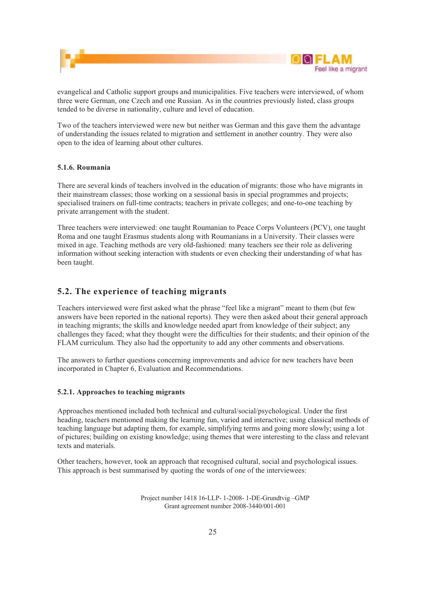

evangelical and Catholic support groups and municipalities. Five teachers were interviewed, of whom three were German, one Czech and one Russian. As in the countries previously listed, class groups tended to be diverse in nationality, culture and level of education.

Two of the teachers interviewed were new but neither was German and this gave them the advantage of understanding the issues related to migration and settlement in another country. They were also open to the idea of learning about other cultures.

#### **5.1.6. Roumania**

There are several kinds of teachers involved in the education of migrants: those who have migrants in their mainstream classes; those working on a sessional basis in special programmes and projects; specialised trainers on full-time contracts; teachers in private colleges; and one-to-one teaching by private arrangement with the student.

Three teachers were interviewed: one taught Roumanian to Peace Corps Volunteers (PCV), one taught Roma and one taught Erasmus students along with Roumanians in a University. Their classes were mixed in age. Teaching methods are very old-fashioned: many teachers see their role as delivering information without seeking interaction with students or even checking their understanding of what has been taught.

#### **5.2. The experience of teaching migrants**

Teachers interviewed were first asked what the phrase "feel like a migrant" meant to them (but few answers have been reported in the national reports). They were then asked about their general approach in teaching migrants; the skills and knowledge needed apart from knowledge of their subject; any challenges they faced; what they thought were the difficulties for their students; and their opinion of the FLAM curriculum. They also had the opportunity to add any other comments and observations.

The answers to further questions concerning improvements and advice for new teachers have been incorporated in Chapter 6, Evaluation and Recommendations.

#### **5.2.1. Approaches to teaching migrants**

Approaches mentioned included both technical and cultural/social/psychological. Under the first heading, teachers mentioned making the learning fun, varied and interactive; using classical methods of teaching language but adapting them, for example, simplifying terms and going more slowly; using a lot of pictures; building on existing knowledge; using themes that were interesting to the class and relevant texts and materials.

Other teachers, however, took an approach that recognised cultural, social and psychological issues. This approach is best summarised by quoting the words of one of the interviewees: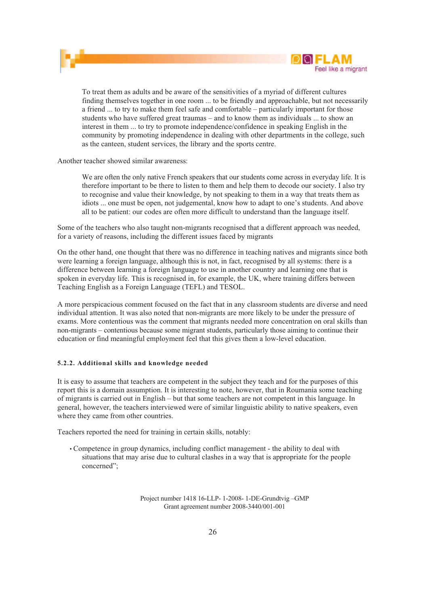



To treat them as adults and be aware of the sensitivities of a myriad of different cultures finding themselves together in one room ... to be friendly and approachable, but not necessarily a friend ... to try to make them feel safe and comfortable – particularly important for those students who have suffered great traumas – and to know them as individuals ... to show an interest in them ... to try to promote independence/confidence in speaking English in the community by promoting independence in dealing with other departments in the college, such as the canteen, student services, the library and the sports centre.

Another teacher showed similar awareness:

We are often the only native French speakers that our students come across in everyday life. It is therefore important to be there to listen to them and help them to decode our society. I also try to recognise and value their knowledge, by not speaking to them in a way that treats them as idiots ... one must be open, not judgemental, know how to adapt to one's students. And above all to be patient: our codes are often more difficult to understand than the language itself.

Some of the teachers who also taught non-migrants recognised that a different approach was needed, for a variety of reasons, including the different issues faced by migrants

On the other hand, one thought that there was no difference in teaching natives and migrants since both were learning a foreign language, although this is not, in fact, recognised by all systems: there is a difference between learning a foreign language to use in another country and learning one that is spoken in everyday life. This is recognised in, for example, the UK, where training differs between Teaching English as a Foreign Language (TEFL) and TESOL.

A more perspicacious comment focused on the fact that in any classroom students are diverse and need individual attention. It was also noted that non-migrants are more likely to be under the pressure of exams. More contentious was the comment that migrants needed more concentration on oral skills than non-migrants – contentious because some migrant students, particularly those aiming to continue their education or find meaningful employment feel that this gives them a low-level education.

#### **5.2.2. Additional skills and knowledge needed**

It is easy to assume that teachers are competent in the subject they teach and for the purposes of this report this is a domain assumption. It is interesting to note, however, that in Roumania some teaching of migrants is carried out in English – but that some teachers are not competent in this language. In general, however, the teachers interviewed were of similar linguistic ability to native speakers, even where they came from other countries.

Teachers reported the need for training in certain skills, notably:

• Competence in group dynamics, including conflict management - the ability to deal with situations that may arise due to cultural clashes in a way that is appropriate for the people concerned";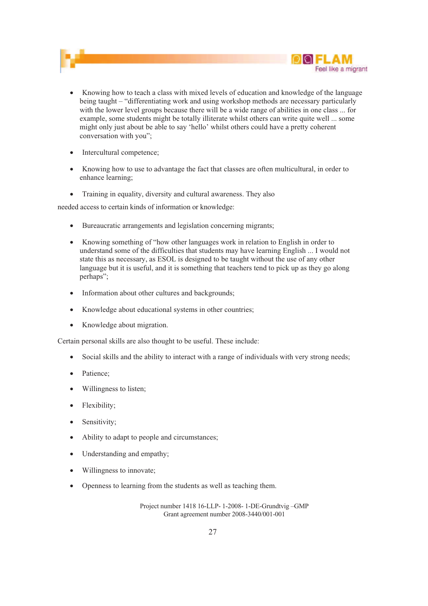

- ! Knowing how to teach a class with mixed levels of education and knowledge of the language being taught – "differentiating work and using workshop methods are necessary particularly with the lower level groups because there will be a wide range of abilities in one class ... for example, some students might be totally illiterate whilst others can write quite well ... some might only just about be able to say 'hello' whilst others could have a pretty coherent conversation with you";
- Intercultural competence;
- ! Knowing how to use to advantage the fact that classes are often multicultural, in order to enhance learning;
- Training in equality, diversity and cultural awareness. They also

needed access to certain kinds of information or knowledge:

- ! Bureaucratic arrangements and legislation concerning migrants;
- ! Knowing something of "how other languages work in relation to English in order to understand some of the difficulties that students may have learning English ... I would not state this as necessary, as ESOL is designed to be taught without the use of any other language but it is useful, and it is something that teachers tend to pick up as they go along perhaps";
- Information about other cultures and backgrounds;
- ! Knowledge about educational systems in other countries;
- Knowledge about migration.

Certain personal skills are also thought to be useful. These include:

- Social skills and the ability to interact with a range of individuals with very strong needs;
- Patience;
- Willingness to listen;
- Flexibility;
- Sensitivity;
- ! Ability to adapt to people and circumstances;
- Understanding and empathy;
- Willingness to innovate:
- ! Openness to learning from the students as well as teaching them.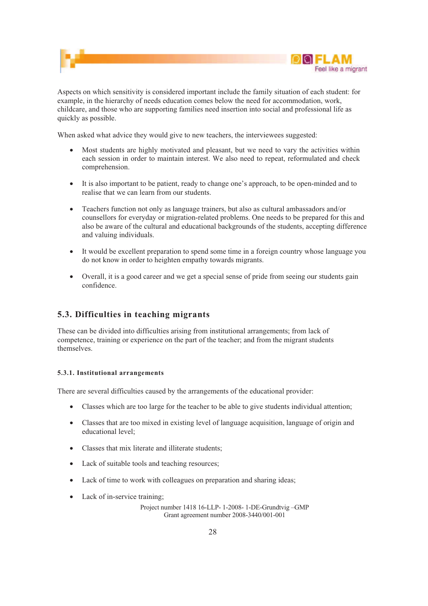

Aspects on which sensitivity is considered important include the family situation of each student: for example, in the hierarchy of needs education comes below the need for accommodation, work, childcare, and those who are supporting families need insertion into social and professional life as quickly as possible.

When asked what advice they would give to new teachers, the interviewees suggested:

- ! Most students are highly motivated and pleasant, but we need to vary the activities within each session in order to maintain interest. We also need to repeat, reformulated and check comprehension.
- ! It is also important to be patient, ready to change one's approach, to be open-minded and to realise that we can learn from our students.
- ! Teachers function not only as language trainers, but also as cultural ambassadors and/or counsellors for everyday or migration-related problems. One needs to be prepared for this and also be aware of the cultural and educational backgrounds of the students, accepting difference and valuing individuals.
- It would be excellent preparation to spend some time in a foreign country whose language you do not know in order to heighten empathy towards migrants.
- ! Overall, it is a good career and we get a special sense of pride from seeing our students gain confidence.

#### **5.3. Difficulties in teaching migrants**

These can be divided into difficulties arising from institutional arrangements; from lack of competence, training or experience on the part of the teacher; and from the migrant students themselves.

#### **5.3.1. Institutional arrangements**

There are several difficulties caused by the arrangements of the educational provider:

- ! Classes which are too large for the teacher to be able to give students individual attention;
- ! Classes that are too mixed in existing level of language acquisition, language of origin and educational level;
- ! Classes that mix literate and illiterate students;
- Lack of suitable tools and teaching resources:
- ! Lack of time to work with colleagues on preparation and sharing ideas;
- Lack of in-service training;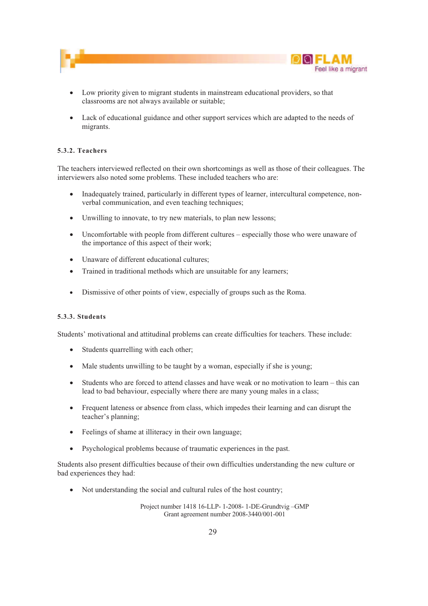

- ! Low priority given to migrant students in mainstream educational providers, so that classrooms are not always available or suitable;
- ! Lack of educational guidance and other support services which are adapted to the needs of migrants.

#### **5.3.2. Teachers**

The teachers interviewed reflected on their own shortcomings as well as those of their colleagues. The interviewers also noted some problems. These included teachers who are:

- Inadequately trained, particularly in different types of learner, intercultural competence, nonverbal communication, and even teaching techniques;
- Unwilling to innovate, to try new materials, to plan new lessons;
- Uncomfortable with people from different cultures especially those who were unaware of the importance of this aspect of their work;
- Unaware of different educational cultures;
- Trained in traditional methods which are unsuitable for any learners;
- ! Dismissive of other points of view, especially of groups such as the Roma.

#### **5.3.3. Students**

Students' motivational and attitudinal problems can create difficulties for teachers. These include:

- Students quarrelling with each other;
- ! Male students unwilling to be taught by a woman, especially if she is young;
- ! Students who are forced to attend classes and have weak or no motivation to learn this can lead to bad behaviour, especially where there are many young males in a class;
- ! Frequent lateness or absence from class, which impedes their learning and can disrupt the teacher's planning;
- ! Feelings of shame at illiteracy in their own language;
- ! Psychological problems because of traumatic experiences in the past.

Students also present difficulties because of their own difficulties understanding the new culture or bad experiences they had:

! Not understanding the social and cultural rules of the host country;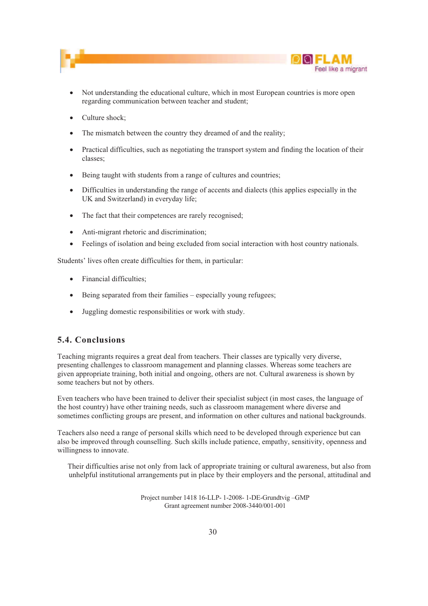



- ! Not understanding the educational culture, which in most European countries is more open regarding communication between teacher and student;
- Culture shock;
- The mismatch between the country they dreamed of and the reality;
- Practical difficulties, such as negotiating the transport system and finding the location of their classes;
- Being taught with students from a range of cultures and countries;
- ! Difficulties in understanding the range of accents and dialects (this applies especially in the UK and Switzerland) in everyday life;
- The fact that their competences are rarely recognised;
- Anti-migrant rhetoric and discrimination;
- Feelings of isolation and being excluded from social interaction with host country nationals.

Students' lives often create difficulties for them, in particular:

- Financial difficulties;
- ! Being separated from their families especially young refugees;
- ! Juggling domestic responsibilities or work with study.

#### **5.4. Conclusions**

Teaching migrants requires a great deal from teachers. Their classes are typically very diverse, presenting challenges to classroom management and planning classes. Whereas some teachers are given appropriate training, both initial and ongoing, others are not. Cultural awareness is shown by some teachers but not by others.

Even teachers who have been trained to deliver their specialist subject (in most cases, the language of the host country) have other training needs, such as classroom management where diverse and sometimes conflicting groups are present, and information on other cultures and national backgrounds.

Teachers also need a range of personal skills which need to be developed through experience but can also be improved through counselling. Such skills include patience, empathy, sensitivity, openness and willingness to innovate.

Their difficulties arise not only from lack of appropriate training or cultural awareness, but also from unhelpful institutional arrangements put in place by their employers and the personal, attitudinal and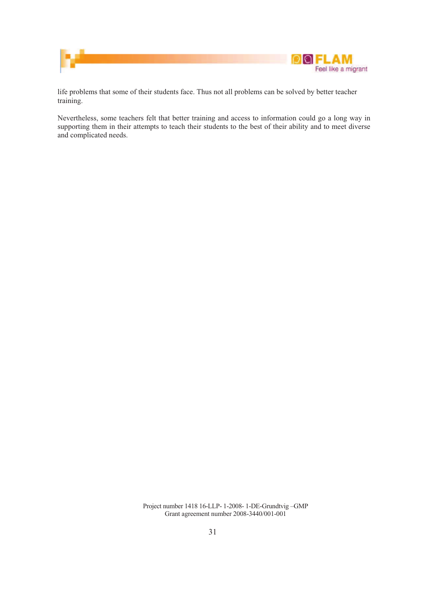

life problems that some of their students face. Thus not all problems can be solved by better teacher training.

Nevertheless, some teachers felt that better training and access to information could go a long way in supporting them in their attempts to teach their students to the best of their ability and to meet diverse and complicated needs.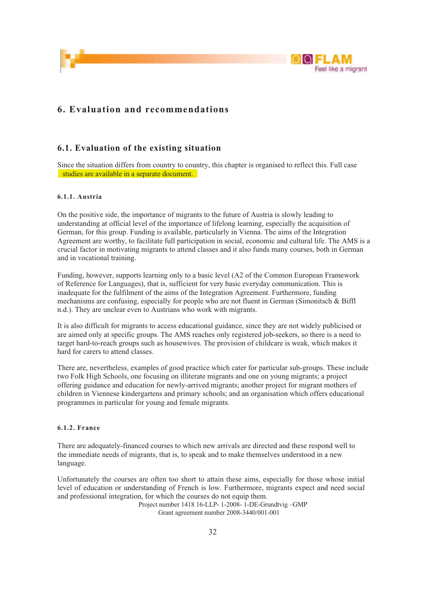



### **6. Evaluation and recommendations**

#### **6.1. Evaluation of the existing situation**

Since the situation differs from country to country, this chapter is organised to reflect this. Full case studies are available in a separate document.

#### **6.1.1. Austria**

On the positive side, the importance of migrants to the future of Austria is slowly leading to understanding at official level of the importance of lifelong learning, especially the acquisition of German, for this group. Funding is available, particularly in Vienna. The aims of the Integration Agreement are worthy, to facilitate full participation in social, economic and cultural life. The AMS is a crucial factor in motivating migrants to attend classes and it also funds many courses, both in German and in vocational training.

Funding, however, supports learning only to a basic level (A2 of the Common European Framework of Reference for Languages), that is, sufficient for very basic everyday communication. This is inadequate for the fulfilment of the aims of the Integration Agreement. Furthermore, funding mechanisms are confusing, especially for people who are not fluent in German (Simonitsch & Biffl n.d.). They are unclear even to Austrians who work with migrants.

It is also difficult for migrants to access educational guidance, since they are not widely publicised or are aimed only at specific groups. The AMS reaches only registered job-seekers, so there is a need to target hard-to-reach groups such as housewives. The provision of childcare is weak, which makes it hard for carers to attend classes.

There are, nevertheless, examples of good practice which cater for particular sub-groups. These include two Folk High Schools, one focusing on illiterate migrants and one on young migrants; a project offering guidance and education for newly-arrived migrants; another project for migrant mothers of children in Viennese kindergartens and primary schools; and an organisation which offers educational programmes in particular for young and female migrants.

#### **6.1.2. France**

There are adequately-financed courses to which new arrivals are directed and these respond well to the immediate needs of migrants, that is, to speak and to make themselves understood in a new language.

Unfortunately the courses are often too short to attain these aims, especially for those whose initial level of education or understanding of French is low. Furthermore, migrants expect and need social and professional integration, for which the courses do not equip them.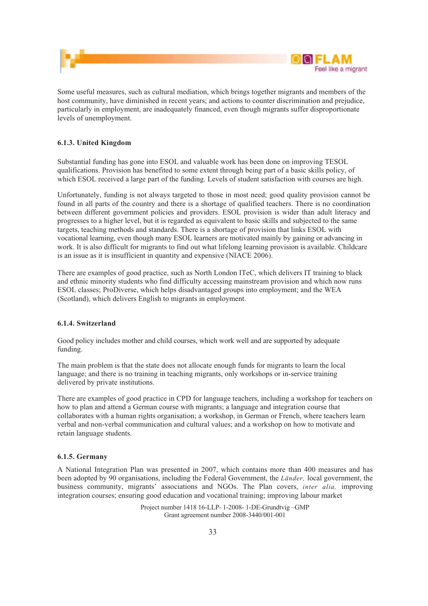

Some useful measures, such as cultural mediation, which brings together migrants and members of the host community, have diminished in recent years; and actions to counter discrimination and prejudice, particularly in employment, are inadequately financed, even though migrants suffer disproportionate levels of unemployment.

#### **6.1.3. United Kingdom**

Substantial funding has gone into ESOL and valuable work has been done on improving TESOL qualifications. Provision has benefited to some extent through being part of a basic skills policy, of which ESOL received a large part of the funding. Levels of student satisfaction with courses are high.

Unfortunately, funding is not always targeted to those in most need; good quality provision cannot be found in all parts of the country and there is a shortage of qualified teachers. There is no coordination between different government policies and providers. ESOL provision is wider than adult literacy and progresses to a higher level, but it is regarded as equivalent to basic skills and subjected to the same targets, teaching methods and standards. There is a shortage of provision that links ESOL with vocational learning, even though many ESOL learners are motivated mainly by gaining or advancing in work. It is also difficult for migrants to find out what lifelong learning provision is available. Childcare is an issue as it is insufficient in quantity and expensive (NIACE 2006).

There are examples of good practice, such as North London ITeC, which delivers IT training to black and ethnic minority students who find difficulty accessing mainstream provision and which now runs ESOL classes; ProDiverse, which helps disadvantaged groups into employment; and the WEA (Scotland), which delivers English to migrants in employment.

#### **6.1.4. Switzerland**

Good policy includes mother and child courses, which work well and are supported by adequate funding.

The main problem is that the state does not allocate enough funds for migrants to learn the local language; and there is no training in teaching migrants, only workshops or in-service training delivered by private institutions.

There are examples of good practice in CPD for language teachers, including a workshop for teachers on how to plan and attend a German course with migrants; a language and integration course that collaborates with a human rights organisation; a workshop, in German or French, where teachers learn verbal and non-verbal communication and cultural values; and a workshop on how to motivate and retain language students.

#### **6.1.5. Germany**

A National Integration Plan was presented in 2007, which contains more than 400 measures and has been adopted by 90 organisations, including the Federal Government, the *Länder,* local government, the business community, migrants' associations and NGOs. The Plan covers, *inter alia,* improving integration courses; ensuring good education and vocational training; improving labour market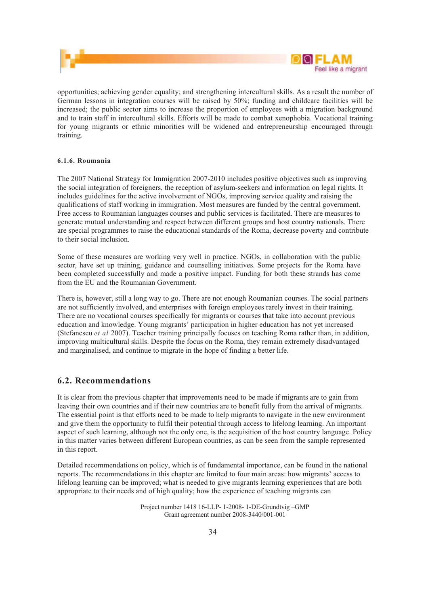

opportunities; achieving gender equality; and strengthening intercultural skills. As a result the number of German lessons in integration courses will be raised by 50%; funding and childcare facilities will be increased; the public sector aims to increase the proportion of employees with a migration background and to train staff in intercultural skills. Efforts will be made to combat xenophobia. Vocational training for young migrants or ethnic minorities will be widened and entrepreneurship encouraged through training.

#### **6.1.6. Roumania**

The 2007 National Strategy for Immigration 2007-2010 includes positive objectives such as improving the social integration of foreigners, the reception of asylum-seekers and information on legal rights. It includes guidelines for the active involvement of NGOs, improving service quality and raising the qualifications of staff working in immigration. Most measures are funded by the central government. Free access to Roumanian languages courses and public services is facilitated. There are measures to generate mutual understanding and respect between different groups and host country nationals. There are special programmes to raise the educational standards of the Roma, decrease poverty and contribute to their social inclusion.

Some of these measures are working very well in practice. NGOs, in collaboration with the public sector, have set up training, guidance and counselling initiatives. Some projects for the Roma have been completed successfully and made a positive impact. Funding for both these strands has come from the EU and the Roumanian Government.

There is, however, still a long way to go. There are not enough Roumanian courses. The social partners are not sufficiently involved, and enterprises with foreign employees rarely invest in their training. There are no vocational courses specifically for migrants or courses that take into account previous education and knowledge. Young migrants' participation in higher education has not yet increased (Stefanescu *et al* 2007). Teacher training principally focuses on teaching Roma rather than, in addition, improving multicultural skills. Despite the focus on the Roma, they remain extremely disadvantaged and marginalised, and continue to migrate in the hope of finding a better life.

#### **6.2. Recommendations**

It is clear from the previous chapter that improvements need to be made if migrants are to gain from leaving their own countries and if their new countries are to benefit fully from the arrival of migrants. The essential point is that efforts need to be made to help migrants to navigate in the new environment and give them the opportunity to fulfil their potential through access to lifelong learning. An important aspect of such learning, although not the only one, is the acquisition of the host country language. Policy in this matter varies between different European countries, as can be seen from the sample represented in this report.

Detailed recommendations on policy, which is of fundamental importance, can be found in the national reports. The recommendations in this chapter are limited to four main areas: how migrants' access to lifelong learning can be improved; what is needed to give migrants learning experiences that are both appropriate to their needs and of high quality; how the experience of teaching migrants can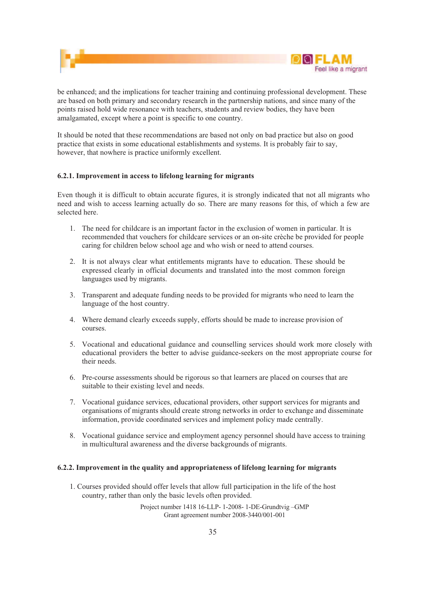

be enhanced; and the implications for teacher training and continuing professional development. These are based on both primary and secondary research in the partnership nations, and since many of the points raised hold wide resonance with teachers, students and review bodies, they have been amalgamated, except where a point is specific to one country.

It should be noted that these recommendations are based not only on bad practice but also on good practice that exists in some educational establishments and systems. It is probably fair to say, however, that nowhere is practice uniformly excellent.

#### **6.2.1. Improvement in access to lifelong learning for migrants**

Even though it is difficult to obtain accurate figures, it is strongly indicated that not all migrants who need and wish to access learning actually do so. There are many reasons for this, of which a few are selected here.

- 1. The need for childcare is an important factor in the exclusion of women in particular. It is recommended that vouchers for childcare services or an on-site crèche be provided for people caring for children below school age and who wish or need to attend courses.
- 2. It is not always clear what entitlements migrants have to education. These should be expressed clearly in official documents and translated into the most common foreign languages used by migrants.
- 3. Transparent and adequate funding needs to be provided for migrants who need to learn the language of the host country.
- 4. Where demand clearly exceeds supply, efforts should be made to increase provision of courses.
- 5. Vocational and educational guidance and counselling services should work more closely with educational providers the better to advise guidance-seekers on the most appropriate course for their needs.
- 6. Pre-course assessments should be rigorous so that learners are placed on courses that are suitable to their existing level and needs.
- 7. Vocational guidance services, educational providers, other support services for migrants and organisations of migrants should create strong networks in order to exchange and disseminate information, provide coordinated services and implement policy made centrally.
- 8. Vocational guidance service and employment agency personnel should have access to training in multicultural awareness and the diverse backgrounds of migrants.

#### **6.2.2. Improvement in the quality and appropriateness of lifelong learning for migrants**

1. Courses provided should offer levels that allow full participation in the life of the host country, rather than only the basic levels often provided.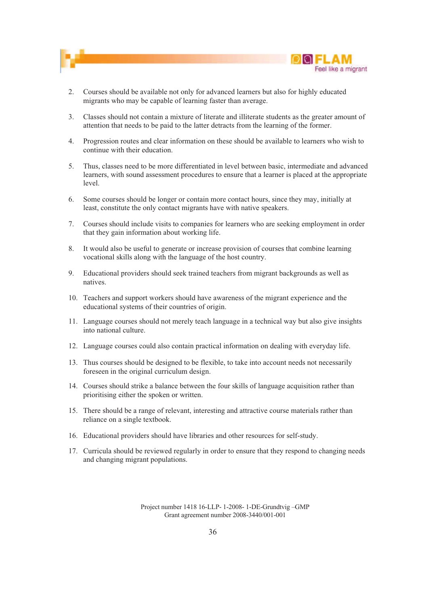



- 2. Courses should be available not only for advanced learners but also for highly educated migrants who may be capable of learning faster than average.
- 3. Classes should not contain a mixture of literate and illiterate students as the greater amount of attention that needs to be paid to the latter detracts from the learning of the former.
- 4. Progression routes and clear information on these should be available to learners who wish to continue with their education.
- 5. Thus, classes need to be more differentiated in level between basic, intermediate and advanced learners, with sound assessment procedures to ensure that a learner is placed at the appropriate level.
- 6. Some courses should be longer or contain more contact hours, since they may, initially at least, constitute the only contact migrants have with native speakers.
- 7. Courses should include visits to companies for learners who are seeking employment in order that they gain information about working life.
- 8. It would also be useful to generate or increase provision of courses that combine learning vocational skills along with the language of the host country.
- 9. Educational providers should seek trained teachers from migrant backgrounds as well as natives.
- 10. Teachers and support workers should have awareness of the migrant experience and the educational systems of their countries of origin.
- 11. Language courses should not merely teach language in a technical way but also give insights into national culture.
- 12. Language courses could also contain practical information on dealing with everyday life.
- 13. Thus courses should be designed to be flexible, to take into account needs not necessarily foreseen in the original curriculum design.
- 14. Courses should strike a balance between the four skills of language acquisition rather than prioritising either the spoken or written.
- 15. There should be a range of relevant, interesting and attractive course materials rather than reliance on a single textbook.
- 16. Educational providers should have libraries and other resources for self-study.
- 17. Curricula should be reviewed regularly in order to ensure that they respond to changing needs and changing migrant populations.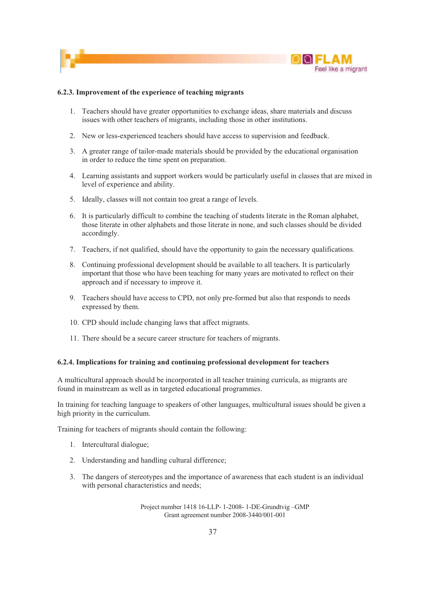

#### **6.2.3. Improvement of the experience of teaching migrants**

- 1. Teachers should have greater opportunities to exchange ideas, share materials and discuss issues with other teachers of migrants, including those in other institutions.
- 2. New or less-experienced teachers should have access to supervision and feedback.
- 3. A greater range of tailor-made materials should be provided by the educational organisation in order to reduce the time spent on preparation.
- 4. Learning assistants and support workers would be particularly useful in classes that are mixed in level of experience and ability.
- 5. Ideally, classes will not contain too great a range of levels.
- 6. It is particularly difficult to combine the teaching of students literate in the Roman alphabet, those literate in other alphabets and those literate in none, and such classes should be divided accordingly.
- 7. Teachers, if not qualified, should have the opportunity to gain the necessary qualifications.
- 8. Continuing professional development should be available to all teachers. It is particularly important that those who have been teaching for many years are motivated to reflect on their approach and if necessary to improve it.
- 9. Teachers should have access to CPD, not only pre-formed but also that responds to needs expressed by them.
- 10. CPD should include changing laws that affect migrants.
- 11. There should be a secure career structure for teachers of migrants.

#### **6.2.4. Implications for training and continuing professional development for teachers**

A multicultural approach should be incorporated in all teacher training curricula, as migrants are found in mainstream as well as in targeted educational programmes.

In training for teaching language to speakers of other languages, multicultural issues should be given a high priority in the curriculum.

Training for teachers of migrants should contain the following:

- 1. Intercultural dialogue;
- 2. Understanding and handling cultural difference;
- 3. The dangers of stereotypes and the importance of awareness that each student is an individual with personal characteristics and needs;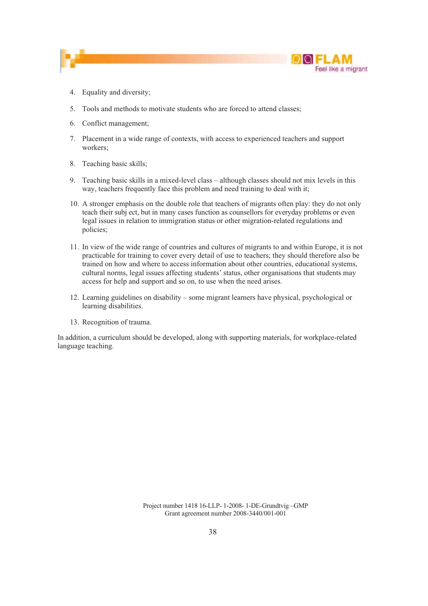



- 4. Equality and diversity;
- 5. Tools and methods to motivate students who are forced to attend classes;
- 6. Conflict management;
- 7. Placement in a wide range of contexts, with access to experienced teachers and support workers;
- 8. Teaching basic skills;
- 9. Teaching basic skills in a mixed-level class although classes should not mix levels in this way, teachers frequently face this problem and need training to deal with it;
- 10. A stronger emphasis on the double role that teachers of migrants often play: they do not only teach their subj ect, but in many cases function as counsellors for everyday problems or even legal issues in relation to immigration status or other migration-related regulations and policies;
- 11. In view of the wide range of countries and cultures of migrants to and within Europe, it is not practicable for training to cover every detail of use to teachers; they should therefore also be trained on how and where to access information about other countries, educational systems, cultural norms, legal issues affecting students' status, other organisations that students may access for help and support and so on, to use when the need arises.
- 12. Learning guidelines on disability some migrant learners have physical, psychological or learning disabilities.
- 13. Recognition of trauma.

In addition, a curriculum should be developed, along with supporting materials, for workplace-related language teaching.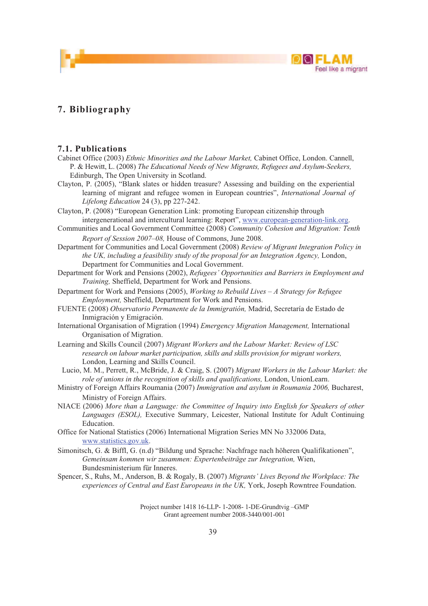

### **7. Bibliography**

#### **7.1. Publications**

Cabinet Office (2003) *Ethnic Minorities and the Labour Market,* Cabinet Office, London. Cannell, P. & Hewitt, L. (2008) *The Educational Needs of New Migrants, Refugees and Asylum-Seekers,*  Edinburgh, The Open University in Scotland.

Clayton, P. (2005), "Blank slates or hidden treasure? Assessing and building on the experiential learning of migrant and refugee women in European countries", *International Journal of Lifelong Education* 24 (3), pp 227-242.

Clayton, P. (2008) "European Generation Link: promoting European citizenship through intergenerational and intercultural learning: Report", www.european-generation-link.org.

Communities and Local Government Committee (2008) *Community Cohesion and Migration: Tenth Report of Session 2007–08,* House of Commons, June 2008.

Department for Communities and Local Government (2008) *Review of Migrant Integration Policy in the UK, including a feasibility study of the proposal for an Integration Agency, London,* Department for Communities and Local Government.

Department for Work and Pensions (2002), *Refugees' Opportunities and Barriers in Employment and Training,* Sheffield, Department for Work and Pensions.

Department for Work and Pensions (2005), *Working to Rebuild Lives – A Strategy for Refugee Employment,* Sheffield, Department for Work and Pensions.

FUENTE (2008) *Observatorio Permanente de la Immigratión,* Madrid, Secretaría de Estado de Inmigración y Emigración.

International Organisation of Migration (1994) *Emergency Migration Management,* International Organisation of Migration.

Learning and Skills Council (2007) *Migrant Workers and the Labour Market: Review of LSC research on labour market participation, skills and skills provision for migrant workers,*  London, Learning and Skills Council.

Lucio, M. M., Perrett, R., McBride, J. & Craig, S. (2007) *Migrant Workers in the Labour Market: the role of unions in the recognition of skills and qualifications,* London, UnionLearn.

Ministry of Foreign Affairs Roumania (2007) *Immigration and asylum in Roumania 2006,* Bucharest, Ministry of Foreign Affairs.

NIACE (2006) *More than a Language: the Committee of Inquiry into English for Speakers of other Languages (ESOL),* Executive Summary, Leicester, National Institute for Adult Continuing Education.

Office for National Statistics (2006) International Migration Series MN No 332006 Data, www.statistics.gov.uk.

Simonitsch, G. & Biffl, G. (n.d) "Bildung und Sprache: Nachfrage nach höheren Qualifikationen", *Gemeinsam kommen wir zusammen: Expertenbeiträge zur Integration,* Wien, Bundesministerium für Inneres.

Spencer, S., Ruhs, M., Anderson, B. & Rogaly, B. (2007) *Migrants' Lives Beyond the Workplace: The experiences of Central and East Europeans in the UK,* York, Joseph Rowntree Foundation.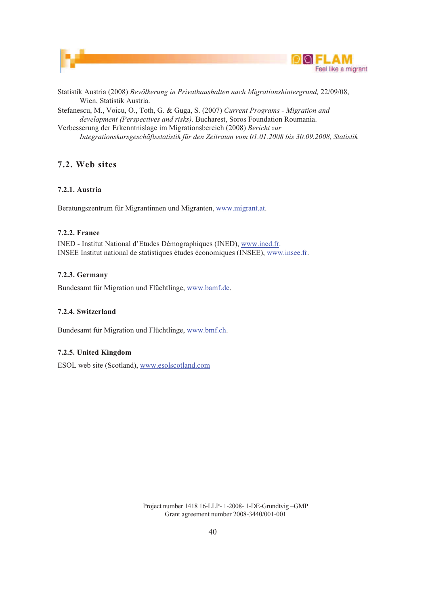



Statistik Austria (2008) *Bevölkerung in Privathaushalten nach Migrationshintergrund,* 22/09/08, Wien, Statistik Austria.

Stefanescu, M., Voicu, O., Toth, G. & Guga, S. (2007) *Current Programs - Migration and development (Perspectives and risks).* Bucharest, Soros Foundation Roumania. Verbesserung der Erkenntnislage im Migrationsbereich (2008) *Bericht zur* 

*Integrationskursgeschäftsstatistik für den Zeitraum vom 01.01.2008 bis 30.09.2008, Statistik* 

### **7.2. Web sites**

#### **7.2.1. Austria**

Beratungszentrum für Migrantinnen und Migranten, www.migrant.at.

#### **7.2.2. France**

INED - Institut National d'Etudes Démographiques (INED), www.ined.fr. INSEE Institut national de statistiques études économiques (INSEE), www.insee.fr.

#### **7.2.3. Germany**

Bundesamt für Migration und Flüchtlinge, www.bamf.de.

#### **7.2.4. Switzerland**

Bundesamt für Migration und Flüchtlinge, www.bmf.ch.

#### **7.2.5. United Kingdom**

ESOL web site (Scotland), www.esolscotland.com